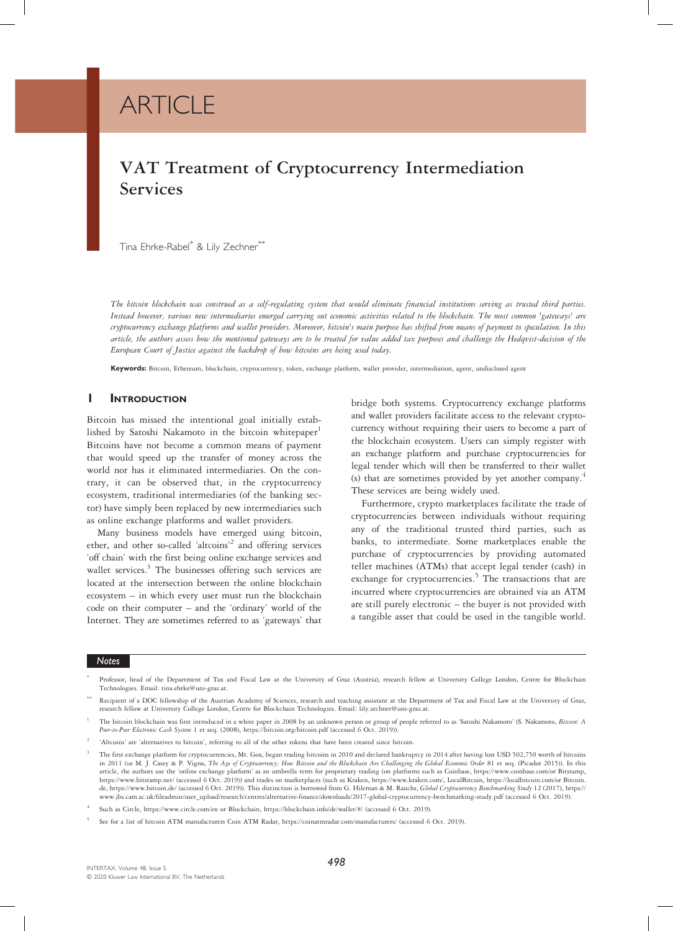# **ARTICLE**

# VAT Treatment of Cryptocurrency Intermediation Services

Tina Ehrke-Rabel\* & Lily Zechner\*\*

The bitcoin blockchain was construed as a self-regulating system that would eliminate financial institutions serving as trusted third parties. Instead however, various new intermediaries emerged carrying out economic activities related to the blockchain. The most common 'gateways' are cryptocurrency exchange platforms and wallet providers. Moreover, bitcoin's main purpose has shifted from means of payment to speculation. In this article, the authors assess how the mentioned gateways are to be treated for value added tax purposes and challenge the Hedqvist-decision of the European Court of Justice against the backdrop of how bitcoins are being used today.

Keywords: Bitcoin, Ethereum, blockchain, cryptocurrency, token, exchange platform, wallet provider, intermediation, agent, undisclosed agent

# **I** INTRODUCTION

Bitcoin has missed the intentional goal initially established by Satoshi Nakamoto in the bitcoin whitepaper Bitcoins have not become a common means of payment that would speed up the transfer of money across the world nor has it eliminated intermediaries. On the contrary, it can be observed that, in the cryptocurrency ecosystem, traditional intermediaries (of the banking sector) have simply been replaced by new intermediaries such as online exchange platforms and wallet providers.

Many business models have emerged using bitcoin, ether, and other so-called 'altcoins' <sup>2</sup> and offering services 'off chain' with the first being online exchange services and wallet services. $3$  The businesses offering such services are located at the intersection between the online blockchain ecosystem – in which every user must run the blockchain code on their computer – and the 'ordinary' world of the Internet. They are sometimes referred to as 'gateways' that

bridge both systems. Cryptocurrency exchange platforms and wallet providers facilitate access to the relevant cryptocurrency without requiring their users to become a part of the blockchain ecosystem. Users can simply register with an exchange platform and purchase cryptocurrencies for legal tender which will then be transferred to their wallet (s) that are sometimes provided by yet another company.<sup>4</sup> These services are being widely used.

Furthermore, crypto marketplaces facilitate the trade of cryptocurrencies between individuals without requiring any of the traditional trusted third parties, such as banks, to intermediate. Some marketplaces enable the purchase of cryptocurrencies by providing automated teller machines (ATMs) that accept legal tender (cash) in exchange for cryptocurrencies.<sup>5</sup> The transactions that are incurred where cryptocurrencies are obtained via an ATM are still purely electronic – the buyer is not provided with a tangible asset that could be used in the tangible world.

# Notes

Professor, head of the Department of Tax and Fiscal Law at the University of Graz (Austria), research fellow at University College London, Centre for Blockchain Technologies. Email: tina.ehrke@uni-graz.at.

<sup>\*\*</sup> Recipient of a DOC fellowship of the Austrian Academy of Sciences, research and teaching assistant at the Department of Tax and Fiscal Law at the University of Graz, research fellow at University College London, Centre for Blockchain Technologies. Email: lily.zechner@uni-graz.at.

The bitcoin blockchain was first introduced in a white paper in 2008 by an unknown person or group of people referred to as 'Satoshi Nakamoto' (S. Nakamoto, Bitcoin: A Peer-to-Peer Electronic Cash System 1 et seq. (2008), https://bitcoin.org/bitcoin.pdf (accessed 6 Oct. 2019)).

<sup>2</sup> 'Altcoins' are 'alternatives to bitcoin', referring to all of the other tokens that have been created since bitcoin.

<sup>3</sup> The first exchange platform for cryptocurrencies, Mt. Gox, began trading bitcoins in 2010 and declared bankruptcy in 2014 after having lost USD 502,750 worth of bitcoins in 2011 (see M. J. Casey & P. Vigna, The Age of Cryptocurrency: How Bitcoin and the Blockchain Are Challenging the Global Economic Order 81 et seq. (Picador 2015)). In this article, the authors use the 'online exchange platform' as an umbrella term for proprietary trading (on platforms such as Coinbase, https://www.coinbase.com/or Bitstamp, https://www.bitstamp.net/ (accessed 6 Oct. 2019)) and trades on marketplaces (such as Kraken, https://www.kraken.com/, LocalBitcoin, https://localbitcoin.com/or Bitcoin.<br>de, https://www.bitcoin.de/ (accessed 6 Oct. 2019)). www.jbs.cam.ac.uk/fileadmin/user\_upload/research/centres/alternative-finance/downloads/2017-global-cryptocurrency-benchmarking-study.pdf (accessed 6 Oct. 2019).

<sup>4</sup> Such as Circle, https://www.circle.com/en or Blockchain, https://blockchain.info/de/wallet/#/ (accessed 6 Oct. 2019).

<sup>5</sup> See for a list of bitcoin ATM manufacturers Coin ATM Radar, https://coinatmradar.com/manufacturers/ (accessed 6 Oct. 2019).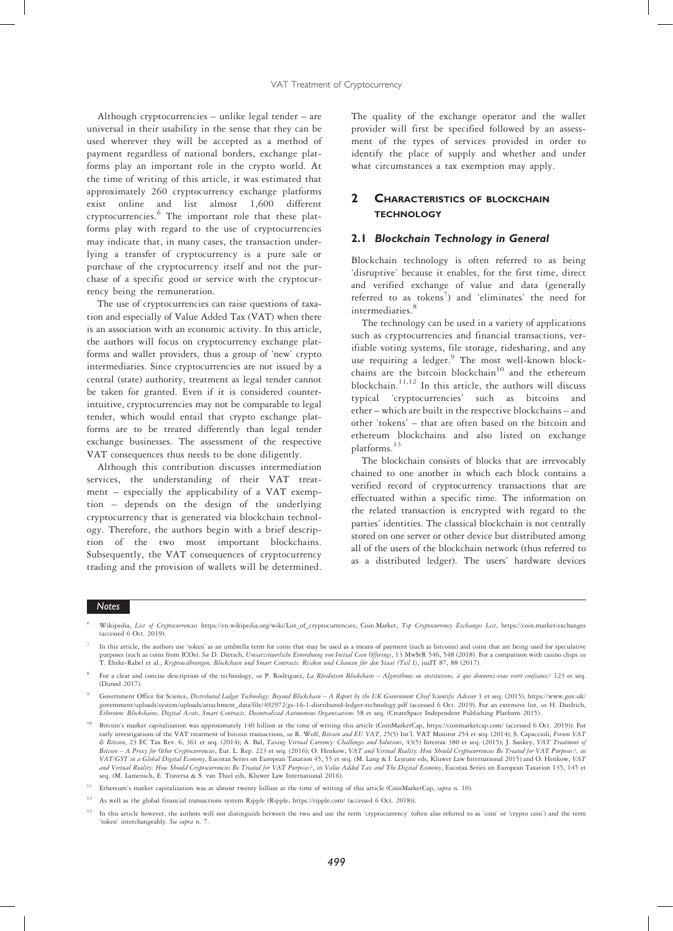Although cryptocurrencies – unlike legal tender – are universal in their usability in the sense that they can be used wherever they will be accepted as a method of payment regardless of national borders, exchange platforms play an important role in the crypto world. At the time of writing of this article, it was estimated that approximately 260 cryptocurrency exchange platforms exist online and list almost 1,600 different cryptocurrencies.<sup>6</sup> The important role that these platforms play with regard to the use of cryptocurrencies may indicate that, in many cases, the transaction underlying a transfer of cryptocurrency is a pure sale or purchase of the cryptocurrency itself and not the purchase of a specific good or service with the cryptocurrency being the remuneration.

The use of cryptocurrencies can raise questions of taxation and especially of Value Added Tax (VAT) when there is an association with an economic activity. In this article, the authors will focus on cryptocurrency exchange platforms and wallet providers, thus a group of 'new' crypto intermediaries. Since cryptocurrencies are not issued by a central (state) authority, treatment as legal tender cannot be taken for granted. Even if it is considered counterintuitive, cryptocurrencies may not be comparable to legal tender, which would entail that crypto exchange platforms are to be treated differently than legal tender exchange businesses. The assessment of the respective VAT consequences thus needs to be done diligently.

Although this contribution discusses intermediation services, the understanding of their VAT treatment – especially the applicability of a VAT exemption – depends on the design of the underlying cryptocurrency that is generated via blockchain technology. Therefore, the authors begin with a brief description of the two most important blockchains. Subsequently, the VAT consequences of cryptocurrency trading and the provision of wallets will be determined.

The quality of the exchange operator and the wallet provider will first be specified followed by an assessment of the types of services provided in order to identify the place of supply and whether and under what circumstances a tax exemption may apply.

# 2 **CHARACTERISTICS OF BLOCKCHAIN TECHNOLOGY**

# 2.1 Blockchain Technology in General

Blockchain technology is often referred to as being 'disruptive' because it enables, for the first time, direct and verified exchange of value and data (generally referred to as tokens<sup>7</sup>) and 'eliminates' the need for intermediaries.<sup>8</sup>

The technology can be used in a variety of applications such as cryptocurrencies and financial transactions, verifiable voting systems, file storage, ridesharing, and any use requiring a ledger.<sup>9</sup> The most well-known blockchains are the bitcoin blockchain<sup>10</sup> and the ethereum blockchain.11,12 In this article, the authors will discuss typical 'cryptocurrencies' such as bitcoins and ether – which are built in the respective blockchains – and other 'tokens' – that are often based on the bitcoin and ethereum blockchains and also listed on exchange platforms.<sup>13</sup>

The blockchain consists of blocks that are irrevocably chained to one another in which each block contains a verified record of cryptocurrency transactions that are effectuated within a specific time. The information on the related transaction is encrypted with regard to the parties' identities. The classical blockchain is not centrally stored on one server or other device but distributed among all of the users of the blockchain network (thus referred to as a distributed ledger). The users' hardware devices

- Wikipedia, List of Cryptocurrencies https://en.wikipedia.org/wiki/List\_of\_cryptocurrencies; Coin.Market, Top Cryptocurrency Exchanges List, https://coin.market/exchanges (accessed 6 Oct. 2019).
- In this article, the authors use 'token' as an umbrella term for coins that may be used as a means of payment (such as bitcoins) and coins that are being used for speculative purposes (such as coins from ICOs). See D. Dietsch, Umsatzsteuerliche Einordnung von Initial Coin Offerings, 13 MwStR 546, 548 (2018). For a comparison with casino chips see T. Ehrke-Rabel et al., Kryptowährungen, Blockchain und Smart Contracts: Risiken und Chancen für den Staat (Teil I), jusIT 87, 88 (2017).
- For a clear and concise description of the technology, see P. Rodriguez, La Révolution Blockchain Algorithmes ou institutions, à qui donnerez-vous votre confiance? 123 et seq. (Dunod 2017).
- <sup>9</sup> Government Office for Science, Distributed Ledger Technology: Beyond Blockchain A Report by the UK Government Chief Scientific Adviser 1 et seq. (2015), https://www.gov.uk/ government/uploads/system/uploads/attachment\_data/file/492972/gs-16-1-distributed-ledger-technology.pdf (accessed 6 Oct. 2019). For an extensive list, see H. Diedrich, Ethereum: Blockchains, Digital Assets, Smart Contracts, Decentralized Autonomous Organizations 58 et seq. (CreateSpace Independent Publishing Platform 2015).
- <sup>10</sup> Bitcoin's market capitalization was approximately 140 billion at the time of writing this article (CoinMarketCap, https://coinmarketcap.com/ (accessed 6 Oct. 2019)). For early investigations of the VAT treatment of bi VAT/GST in a Global Digital Economy, Eucotax Series on European Taxation 45, 55 et seq. (M. Lang & I. Lejeune eds, Kluwer Law International 2015) and O. Henkow, VAT<br>and Virtual Reality: How Sbould Cryptocurrencies Be Treat
- <sup>11</sup> Ethereum's market capitalization was at almost twenty billion at the time of writing of this article (CoinMarketCap, supra n. 10).
- <sup>12</sup> As well as the global financial transactions system Ripple (Ripple, https://ripple.com/ (accessed 6 Oct. 2018)).
- <sup>13</sup> In this article however, the authors will not distinguish between the two and use the term 'cryptocurrency' (often also referred to as 'coin' or 'crypto coin') and the term 'token' interchangeably. See supra n. 7.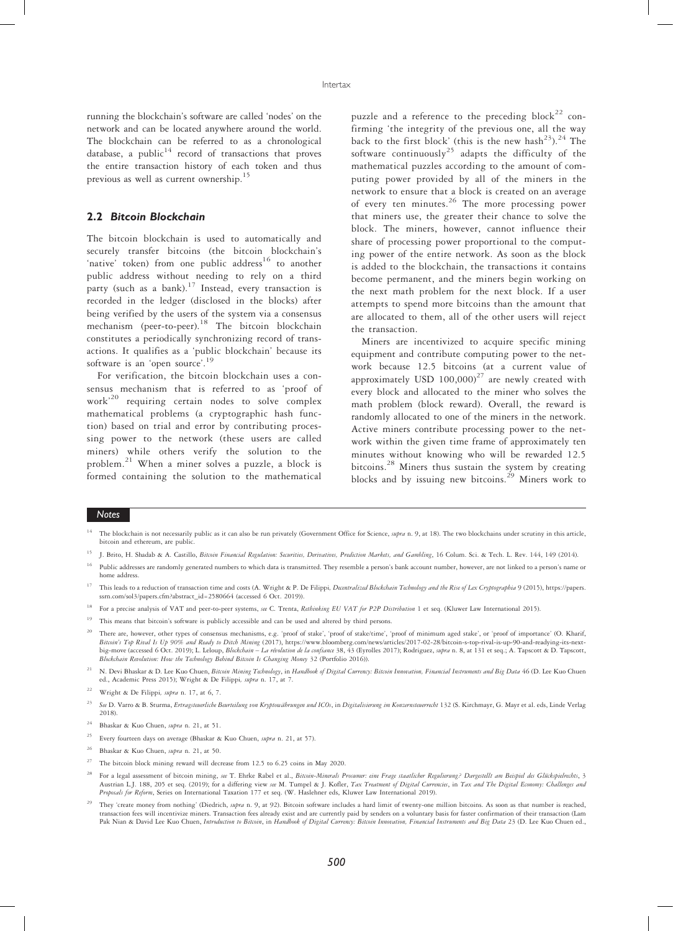running the blockchain's software are called 'nodes' on the network and can be located anywhere around the world. The blockchain can be referred to as a chronological database, a public $14$  record of transactions that proves the entire transaction history of each token and thus previous as well as current ownership.<sup>15</sup>

# 2.2 Bitcoin Blockchain

The bitcoin blockchain is used to automatically and securely transfer bitcoins (the bitcoin blockchain's 'native' token) from one public address<sup>16</sup> to another public address without needing to rely on a third party (such as a bank).<sup>17</sup> Instead, every transaction is recorded in the ledger (disclosed in the blocks) after being verified by the users of the system via a consensus mechanism (peer-to-peer).<sup>18</sup> The bitcoin blockchain constitutes a periodically synchronizing record of transactions. It qualifies as a 'public blockchain' because its software is an 'open source'.<sup>19</sup>

For verification, the bitcoin blockchain uses a consensus mechanism that is referred to as 'proof of work' <sup>20</sup> requiring certain nodes to solve complex mathematical problems (a cryptographic hash function) based on trial and error by contributing processing power to the network (these users are called miners) while others verify the solution to the problem.<sup>21</sup> When a miner solves a puzzle, a block is formed containing the solution to the mathematical

puzzle and a reference to the preceding  $block^{22}$  confirming 'the integrity of the previous one, all the way back to the first block' (this is the new hash<sup>23</sup>).<sup>24</sup> The software continuously<sup>25</sup> adapts the difficulty of the mathematical puzzles according to the amount of computing power provided by all of the miners in the network to ensure that a block is created on an average of every ten minutes.<sup>26</sup> The more processing power that miners use, the greater their chance to solve the block. The miners, however, cannot influence their share of processing power proportional to the computing power of the entire network. As soon as the block is added to the blockchain, the transactions it contains become permanent, and the miners begin working on the next math problem for the next block. If a user attempts to spend more bitcoins than the amount that are allocated to them, all of the other users will reject the transaction.

Miners are incentivized to acquire specific mining equipment and contribute computing power to the network because 12.5 bitcoins (at a current value of approximately USD  $100,000$ <sup>27</sup> are newly created with every block and allocated to the miner who solves the math problem (block reward). Overall, the reward is randomly allocated to one of the miners in the network. Active miners contribute processing power to the network within the given time frame of approximately ten minutes without knowing who will be rewarded 12.5 bitcoins.<sup>28</sup> Miners thus sustain the system by creating blocks and by issuing new bitcoins.<sup>29</sup> Miners work to

- J. Brito, H. Shadab & A. Castillo, Bitcoin Financial Regulation: Securities, Derivatives, Prediction Markets, and Gambling, 16 Colum. Sci. & Tech. L. Rev. 144, 149 (2014).
- <sup>16</sup> Public addresses are randomly generated numbers to which data is transmitted. They resemble a person's bank account number, however, are not linked to a person's name or home address.
- <sup>17</sup> This leads to a reduction of transaction time and costs (A. Wright & P. De Filippi, *Decentralized Blockchain Technology and the Rise of Lex Cryptographia* 9 (2015), https://papers. ssrn.com/sol3/papers.cfm?abstract\_id=2580664 (accessed 6 Oct. 2019)).
- <sup>18</sup> For a precise analysis of VAT and peer-to-peer systems, see C. Trenta, Rethinking EU VAT for P2P Distribution 1 et seq. (Kluwer Law International 2015).
- This means that bitcoin's software is publicly accessible and can be used and altered by third persons.
- <sup>20</sup> There are, however, other types of consensus mechanisms, e.g. 'proof of stake', 'proof of stake'/time', 'proof of minimum aged stake', or 'proof of importance' (O. Kharif, Bitcoin's Top Rival Is Up 90% and Ready to Di big-move (accessed 6 Oct. 2019); L. Leloup, Blockchain – La révolution de la confiance 38, 43 (Eyrolles 2017); Rodriguez, supra n. 8, at 131 et seq.; A. Tapscott & D. Tapscott, Blockchain Revolution: How the Technology Behind Bitcoin Is Changing Money 32 (Portfolio 2016)).
- N. Devi Bhaskar & D. Lee Kuo Chuen, Bitcoin Mining Technology, in Handbook of Digital Currency: Bitcoin Innovation, Financial Instruments and Big Data 46 (D. Lee Kuo Chuen ed., Academic Press 2015); Wright & De Filippi, supra n. 17, at 7.

- Every fourteen days on average (Bhaskar & Kuo Chuen, supra n. 21, at 57).
- <sup>26</sup> Bhaskar & Kuo Chuen, supra n. 21, at 50.
- <sup>27</sup> The bitcoin block mining reward will decrease from 12.5 to 6.25 coins in May 2020.
- For a legal assessment of bitcoin mining, see T. Ehrke Rabel et al., Bitcoin-Minerals Prosumer: eine Frage staatlicher Regulierung? Dargestellt am Beispiel des Glückspielrechts, 3 Austrian L.J. 188, 205 et seq. (2019); for a differing view see M. Tumpel & J. Kofler, Tax Treatment of Digital Currencies, in Tax and The Digital Economy: Challenges and Proposals for Reform, Series on International Taxation 177 et seq. (W. Haslehner eds, Kluwer Law International 2019).
- <sup>29</sup> They 'create money from nothing' (Diedrich, *supra* n. 9, at 92). Bitcoin software includes a hard limit of twenty-one million bitcoins. As soon as that number is reached, transaction fees will incentivize miners. Tra Pak Nian & David Lee Kuo Chuen, Introduction to Bitcoin, in Handbook of Digital Currency: Bitcoin Innovation, Financial Instruments and Big Data 23 (D. Lee Kuo Chuen ed.,

The blockchain is not necessarily public as it can also be run privately (Government Office for Science, supra n. 9, at 18). The two blockchains under scrutiny in this article, bitcoin and ethereum, are public.

<sup>&</sup>lt;sup>22</sup> Wright & De Filippi, supra n. 17, at 6, 7.

<sup>&</sup>lt;sup>23</sup> See D. Varro & B. Sturma, Ertragsteuerliche Beurteilung von Kryptowährungen und ICOs, in Digitalisierung im Konzernsteuerrecht 132 (S. Kirchmayr, G. Mayr et al. eds, Linde Verlag 2018).

<sup>24</sup> Bhaskar & Kuo Chuen, supra n. 21, at 51.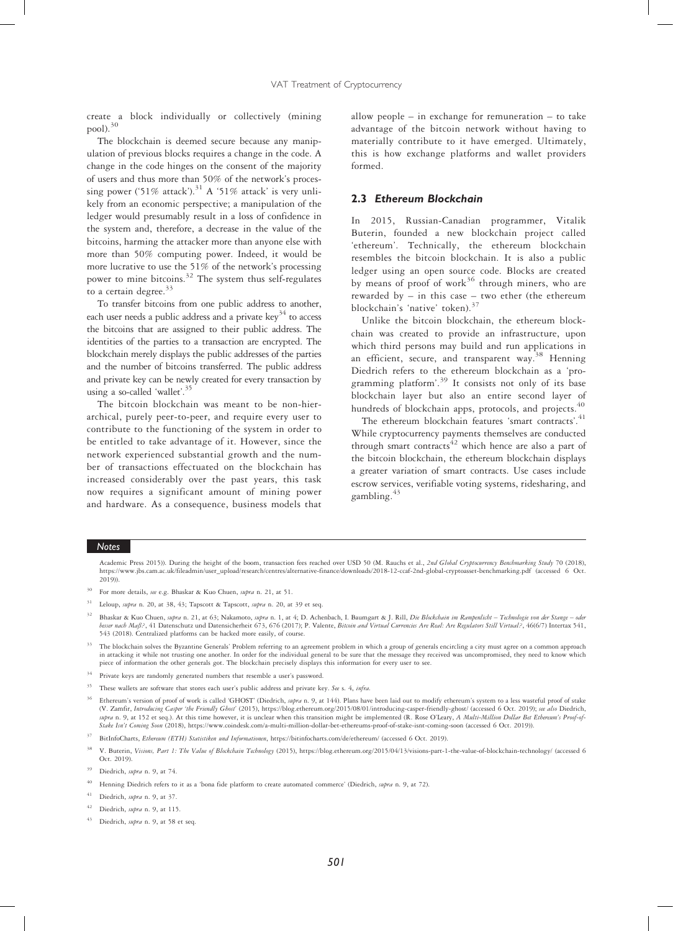create a block individually or collectively (mining pool).  $^{30}$ 

The blockchain is deemed secure because any manipulation of previous blocks requires a change in the code. A change in the code hinges on the consent of the majority of users and thus more than 50% of the network's processing power ('51% attack').<sup>31</sup> A '51% attack' is very unlikely from an economic perspective; a manipulation of the ledger would presumably result in a loss of confidence in the system and, therefore, a decrease in the value of the bitcoins, harming the attacker more than anyone else with more than 50% computing power. Indeed, it would be more lucrative to use the 51% of the network's processing power to mine bitcoins.<sup>32</sup> The system thus self-regulates to a certain degree.<sup>33</sup>

To transfer bitcoins from one public address to another, each user needs a public address and a private  $\text{key}^{34}$  to access the bitcoins that are assigned to their public address. The identities of the parties to a transaction are encrypted. The blockchain merely displays the public addresses of the parties and the number of bitcoins transferred. The public address and private key can be newly created for every transaction by using a so-called 'wallet'. 35

The bitcoin blockchain was meant to be non-hierarchical, purely peer-to-peer, and require every user to contribute to the functioning of the system in order to be entitled to take advantage of it. However, since the network experienced substantial growth and the number of transactions effectuated on the blockchain has increased considerably over the past years, this task now requires a significant amount of mining power and hardware. As a consequence, business models that

allow people – in exchange for remuneration – to take advantage of the bitcoin network without having to materially contribute to it have emerged. Ultimately, this is how exchange platforms and wallet providers formed.

# 2.3 Ethereum Blockchain

In 2015, Russian-Canadian programmer, Vitalik Buterin, founded a new blockchain project called 'ethereum'. Technically, the ethereum blockchain resembles the bitcoin blockchain. It is also a public ledger using an open source code. Blocks are created by means of proof of work<sup>36</sup> through miners, who are rewarded by – in this case – two ether (the ethereum blockchain's 'native' token).<sup>37</sup>

Unlike the bitcoin blockchain, the ethereum blockchain was created to provide an infrastructure, upon which third persons may build and run applications in an efficient, secure, and transparent way.<sup>38</sup> Henning Diedrich refers to the ethereum blockchain as a 'programming platform'. <sup>39</sup> It consists not only of its base blockchain layer but also an entire second layer of hundreds of blockchain apps, protocols, and projects.<sup>40</sup>

The ethereum blockchain features 'smart contracts'.<sup>41</sup> While cryptocurrency payments themselves are conducted through smart contracts<sup> $42$ </sup> which hence are also a part of the bitcoin blockchain, the ethereum blockchain displays a greater variation of smart contracts. Use cases include escrow services, verifiable voting systems, ridesharing, and gambling.<sup>43</sup>

#### Notes

Academic Press 2015)). During the height of the boom, transaction fees reached over USD 50 (M. Rauchs et al., 2nd Global Cryptocurrency Benchmarking Study 70 (2018), https://www.jbs.cam.ac.uk/fileadmin/user\_upload/research/centres/alternative-finance/downloads/2018-12-ccaf-2nd-global-cryptoasset-benchmarking.pdf (accessed 6 Oct. 2019)).

- <sup>30</sup> For more details, see e.g. Bhaskar & Kuo Chuen, supra n. 21, at 51.
- $31$  Leloup, *supra* n. 20, at 38, 43; Tapscott & Tapscott, *supra* n. 20, at 39 et seq.
- Bhaskar & Kuo Chuen, supra n. 21, at 63; Nakamoto, supra n. 1, at 4; D. Achenbach, I. Baumgart & J. Rill, Die Blockchain im Rampenlicht Technologie von der Stange oder besser nach Maß?, 41 Datenschutz und Datensicherheit 673, 676 (2017); P. Valente, Bitcoin and Virtual Currencies Are Real: Are Regulators Still Virtual?, 46(6/7) Intertax 541, 543 (2018). Centralized platforms can be hacked more easily, of course.
- The blockchain solves the Byzantine Generals' Problem referring to an agreement problem in which a group of generals encircling a city must agree on a common approach in attacking it while not trusting one another. In order for the individual general to be sure that the message they received was uncompromised, they need to know which piece of information the other generals got. The blockchain precisely displays this information for every user to see
- $^{34}$   $\,$  Private keys are randomly generated numbers that resemble a user's password
- <sup>35</sup> These wallets are software that stores each user's public address and private key. See s. 4, infra.
- Ethereum's version of proof of work is called 'GHOST' (Diedrich, supra n. 9, at 144). Plans have been laid out to modify ethereum's system to a less wasteful proof of stake (V. Zamfir, Introducing Casper 'the Friendly Ghost' (2015), https://blog.ethereum.org/2015/08/01/introducing-casper-friendly-ghost/ (accessed 6 Oct. 2019); see also Diedrich.<br>Supra n. 9, at 152 et seq.). At this time howev Stake Isn't Coming Soon (2018), https://www.coindesk.com/a-multi-million-dollar-bet-ethereums-proof-of-stake-isnt-coming-soon (accessed 6 Oct. 2019)).
- <sup>37</sup> BitInfoCharts, Ethereum (ETH) Statistiken und Informationen, https://bitinfocharts.com/de/ethereum/ (accessed 6 Oct. 2019).
- V. Buterin, Visions, Part 1: The Value of Blockchain Technology (2015), https://blog.ethereum.org/2015/04/13/visions-part-1-the-value-of-blockchain-technology/ (accessed 6 Oct. 2019).
- Diedrich, supra n. 9, at 74.
- Henning Diedrich refers to it as a 'bona fide platform to create automated commerce' (Diedrich, supra n. 9, at 72).
- Diedrich, supra n. 9, at 37.
- Diedrich, supra n. 9, at 115.
- Diedrich, supra n. 9, at 58 et seq.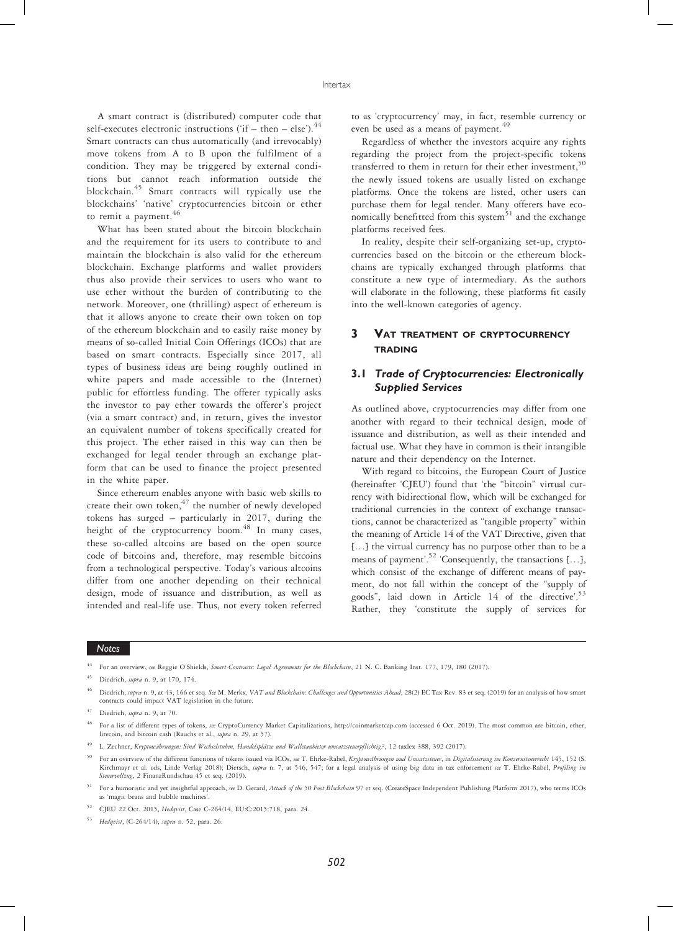A smart contract is (distributed) computer code that self-executes electronic instructions ('if – then – else'). $^{44}$ Smart contracts can thus automatically (and irrevocably) move tokens from A to B upon the fulfilment of a condition. They may be triggered by external conditions but cannot reach information outside the blockchain.<sup>45</sup> Smart contracts will typically use the blockchains' 'native' cryptocurrencies bitcoin or ether to remit a payment.<sup>46</sup>

What has been stated about the bitcoin blockchain and the requirement for its users to contribute to and maintain the blockchain is also valid for the ethereum blockchain. Exchange platforms and wallet providers thus also provide their services to users who want to use ether without the burden of contributing to the network. Moreover, one (thrilling) aspect of ethereum is that it allows anyone to create their own token on top of the ethereum blockchain and to easily raise money by means of so-called Initial Coin Offerings (ICOs) that are based on smart contracts. Especially since 2017, all types of business ideas are being roughly outlined in white papers and made accessible to the (Internet) public for effortless funding. The offerer typically asks the investor to pay ether towards the offerer's project (via a smart contract) and, in return, gives the investor an equivalent number of tokens specifically created for this project. The ether raised in this way can then be exchanged for legal tender through an exchange platform that can be used to finance the project presented in the white paper.

Since ethereum enables anyone with basic web skills to create their own token, $47$  the number of newly developed tokens has surged – particularly in 2017, during the height of the cryptocurrency boom.<sup>48</sup> In many cases, these so-called altcoins are based on the open source code of bitcoins and, therefore, may resemble bitcoins from a technological perspective. Today's various altcoins differ from one another depending on their technical design, mode of issuance and distribution, as well as intended and real-life use. Thus, not every token referred

to as 'cryptocurrency' may, in fact, resemble currency or even be used as a means of payment.<sup>49</sup>

Regardless of whether the investors acquire any rights regarding the project from the project-specific tokens transferred to them in return for their ether investment,<sup>50</sup> the newly issued tokens are usually listed on exchange platforms. Once the tokens are listed, other users can purchase them for legal tender. Many offerers have economically benefitted from this system $51$  and the exchange platforms received fees.

In reality, despite their self-organizing set-up, cryptocurrencies based on the bitcoin or the ethereum blockchains are typically exchanged through platforms that constitute a new type of intermediary. As the authors will elaborate in the following, these platforms fit easily into the well-known categories of agency.

# 3 VAT TREATMENT OF CRYPTOCURRENCY **TRADING**

# 3.1 Trade of Cryptocurrencies: Electronically Supplied Services

As outlined above, cryptocurrencies may differ from one another with regard to their technical design, mode of issuance and distribution, as well as their intended and factual use. What they have in common is their intangible nature and their dependency on the Internet.

With regard to bitcoins, the European Court of Justice (hereinafter 'CJEU') found that 'the "bitcoin" virtual currency with bidirectional flow, which will be exchanged for traditional currencies in the context of exchange transactions, cannot be characterized as "tangible property" within the meaning of Article 14 of the VAT Directive, given that […] the virtual currency has no purpose other than to be a means of payment'.<sup>52</sup> 'Consequently, the transactions [...], which consist of the exchange of different means of payment, do not fall within the concept of the "supply of goods", laid down in Article 14 of the directive'. 53 Rather, they 'constitute the supply of services for

For an overview, see Reggie O'Shields, Smart Contracts: Legal Agreements for the Blockchain, 21 N. C. Banking Inst. 177, 179, 180 (2017).

Diedrich, supra n. 9, at 170, 174.

Diedrich, supra n. 9, at 43, 166 et seq. See M. Merkx, VAT and Blockchain: Challenges and Opportunities Ahead, 28(2) EC Tax Rev. 83 et seq. (2019) for an analysis of how smart contracts could impact VAT legislation in the future.

 $47$  Diedrich, supra n. 9, at 70.

<sup>48</sup> For a list of different types of tokens, see CryptoCurrency Market Capitalizations, http://coinmarketcap.com (accessed 6 Oct. 2019). The most common are bitcoin, ether, litecoin, and bitcoin cash (Rauchs et al., supra n. 29, at 57).

L. Zechner, Kryptowährungen: Sind Wechselstuben, Handelsplätze und Walletanbieter umsatzsteuerpflichtig?, 12 taxlex 388, 392 (2017).

For an overview of the different functions of tokens issued via ICOs, see T. Ehrke-Rabel, Kryptowährungen und Umsatzsteuer, in Digitalisierung im Konzernsteuerrecht 145, 152 (S. Kirchmayr et al. eds, Linde Verlag 2018); Dietsch, supra n. 7, at 546, 547; for a legal analysis of using big data in tax enforcement see T. Ehrke-Rabel, Profiling im Steuervollzug, 2 FinanzRundschau 45 et seq. (2019).

<sup>&</sup>lt;sup>51</sup> For a humoristic and yet insightful approach, see D. Gerard, Attack of the 50 Foot Blockchain 97 et seq. (CreateSpace Independent Publishing Platform 2017), who terms ICOs as 'magic beans and bubble machines

<sup>52</sup> CJEU 22 Oct. 2015, Hedqvist, Case C-264/14, EU:C:2015:718, para. 24.

<sup>53</sup> Hedqvist, (C-264/14), supra n. 52, para. 26.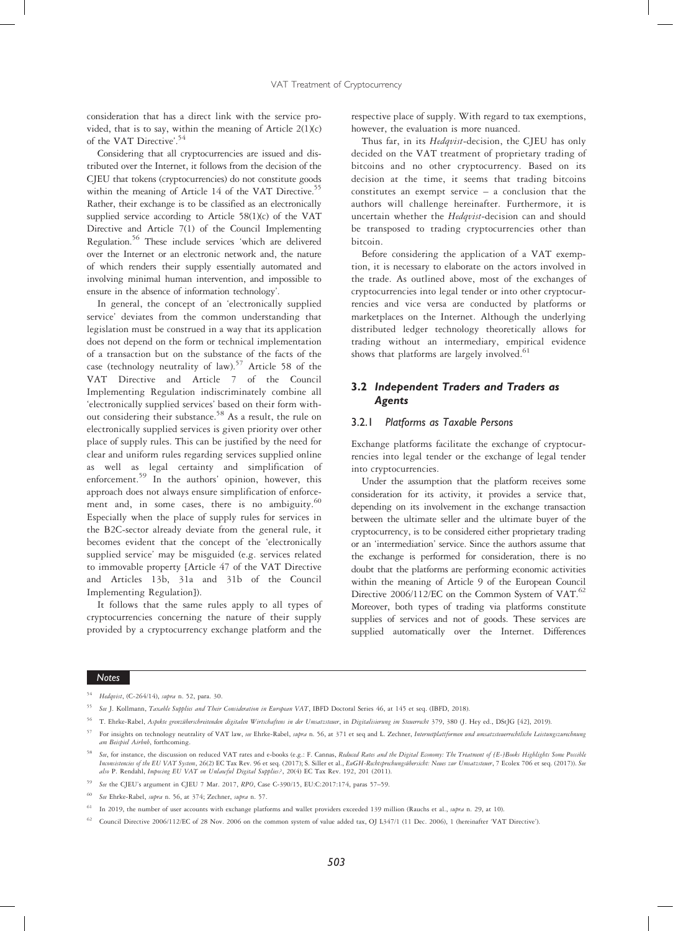consideration that has a direct link with the service provided, that is to say, within the meaning of Article 2(1)(c) of the VAT Directive'. 54

Considering that all cryptocurrencies are issued and distributed over the Internet, it follows from the decision of the CJEU that tokens (cryptocurrencies) do not constitute goods within the meaning of Article 14 of the VAT Directive.<sup>55</sup> Rather, their exchange is to be classified as an electronically supplied service according to Article 58(1)(c) of the VAT Directive and Article 7(1) of the Council Implementing Regulation.56 These include services 'which are delivered over the Internet or an electronic network and, the nature of which renders their supply essentially automated and involving minimal human intervention, and impossible to ensure in the absence of information technology'.

In general, the concept of an 'electronically supplied service' deviates from the common understanding that legislation must be construed in a way that its application does not depend on the form or technical implementation of a transaction but on the substance of the facts of the case (technology neutrality of law).<sup>57</sup> Article 58 of the VAT Directive and Article 7 of the Council Implementing Regulation indiscriminately combine all 'electronically supplied services' based on their form without considering their substance.<sup>58</sup> As a result, the rule on electronically supplied services is given priority over other place of supply rules. This can be justified by the need for clear and uniform rules regarding services supplied online as well as legal certainty and simplification of enforcement.<sup>59</sup> In the authors' opinion, however, this approach does not always ensure simplification of enforcement and, in some cases, there is no ambiguity.<sup>60</sup> Especially when the place of supply rules for services in the B2C-sector already deviate from the general rule, it becomes evident that the concept of the 'electronically supplied service' may be misguided (e.g. services related to immovable property [Article 47 of the VAT Directive and Articles 13b, 31a and 31b of the Council Implementing Regulation]).

It follows that the same rules apply to all types of cryptocurrencies concerning the nature of their supply provided by a cryptocurrency exchange platform and the

respective place of supply. With regard to tax exemptions, however, the evaluation is more nuanced.

Thus far, in its Hedqvist-decision, the CJEU has only decided on the VAT treatment of proprietary trading of bitcoins and no other cryptocurrency. Based on its decision at the time, it seems that trading bitcoins constitutes an exempt service – a conclusion that the authors will challenge hereinafter. Furthermore, it is uncertain whether the Hedqvist-decision can and should be transposed to trading cryptocurrencies other than bitcoin.

Before considering the application of a VAT exemption, it is necessary to elaborate on the actors involved in the trade. As outlined above, most of the exchanges of cryptocurrencies into legal tender or into other cryptocurrencies and vice versa are conducted by platforms or marketplaces on the Internet. Although the underlying distributed ledger technology theoretically allows for trading without an intermediary, empirical evidence shows that platforms are largely involved. $61$ 

# 3.2 Independent Traders and Traders as Agents

# 3.2.1 Platforms as Taxable Persons

Exchange platforms facilitate the exchange of cryptocurrencies into legal tender or the exchange of legal tender into cryptocurrencies.

Under the assumption that the platform receives some consideration for its activity, it provides a service that, depending on its involvement in the exchange transaction between the ultimate seller and the ultimate buyer of the cryptocurrency, is to be considered either proprietary trading or an 'intermediation' service. Since the authors assume that the exchange is performed for consideration, there is no doubt that the platforms are performing economic activities within the meaning of Article 9 of the European Council Directive 2006/112/EC on the Common System of VAT.<sup>62</sup> Moreover, both types of trading via platforms constitute supplies of services and not of goods. These services are supplied automatically over the Internet. Differences

#### Notes

<sup>56</sup> T. Ehrke-Rabel, Aspekte grenzüberschreitenden digitalen Wirtschaftens in der Umsatzsteuer, in Digitalisierung im Steuerrecht 379, 380 (J. Hey ed., DStJG [42], 2019).

See the CJEU's argument in CJEU 7 Mar. 2017, RPO, Case C-390/15, EU:C:2017:174, paras 57-59.

<sup>54</sup> Hedqvist, (C-264/14), supra n. 52, para. 30.

See J. Kollmann, Taxable Supplies and Their Consideration in European VAT, IBFD Doctoral Series 46, at 145 et seq. (IBFD, 2018).

For insights on technology neutrality of VAT law, see Ehrke-Rabel, supra n. 56, at 371 et seq and L. Zechner, Internetplattformen und umsatzsteuerrechtliche Leistungszurechnung am Beispiel Airbnb, forthcoming.

See, for instance, the discussion on reduced VAT rates and e-books (e.g.: F. Cannas, Reduced Rates and the Digital Economy: The Treatment of (E-)Books Highlights Some Possible Inconsistencies of the EU VAT System, 26(2) EC Tax Rev. 96 et seq. (2017); S. Siller et al., EuGH-Rechtsprechungsübersicht: Neues zur Umsatzsteuer, 7 Ecolex 706 et seq. (2017)). See also P. Rendahl, Imposing EU VAT on Unlawful Digital Supplies?, 20(4) EC Tax Rev. 192, 201 (2011).

See Ehrke-Rabel, supra n. 56, at 374; Zechner, supra n. 57.

In 2019, the number of user accounts with exchange platforms and wallet providers exceeded 139 million (Rauchs et al., supra n. 29, at 10).

<sup>62</sup> Council Directive 2006/112/EC of 28 Nov. 2006 on the common system of value added tax, OJ L347/1 (11 Dec. 2006), 1 (hereinafter 'VAT Directive').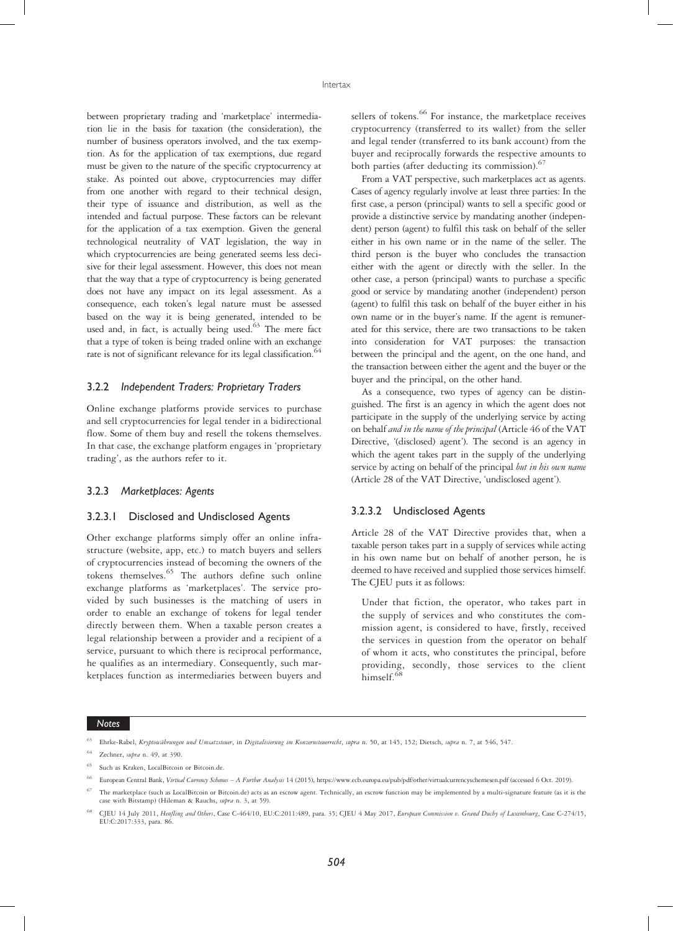between proprietary trading and 'marketplace' intermediation lie in the basis for taxation (the consideration), the number of business operators involved, and the tax exemption. As for the application of tax exemptions, due regard must be given to the nature of the specific cryptocurrency at stake. As pointed out above, cryptocurrencies may differ from one another with regard to their technical design, their type of issuance and distribution, as well as the intended and factual purpose. These factors can be relevant for the application of a tax exemption. Given the general technological neutrality of VAT legislation, the way in which cryptocurrencies are being generated seems less decisive for their legal assessment. However, this does not mean that the way that a type of cryptocurrency is being generated does not have any impact on its legal assessment. As a consequence, each token's legal nature must be assessed based on the way it is being generated, intended to be used and, in fact, is actually being used.<sup>63</sup> The mere fact that a type of token is being traded online with an exchange rate is not of significant relevance for its legal classification.<sup>6</sup>

#### 3.2.2 Independent Traders: Proprietary Traders

Online exchange platforms provide services to purchase and sell cryptocurrencies for legal tender in a bidirectional flow. Some of them buy and resell the tokens themselves. In that case, the exchange platform engages in 'proprietary trading', as the authors refer to it.

#### 3.2.3 Marketplaces: Agents

# 3.2.3.1 Disclosed and Undisclosed Agents

Other exchange platforms simply offer an online infrastructure (website, app, etc.) to match buyers and sellers of cryptocurrencies instead of becoming the owners of the tokens themselves.65 The authors define such online exchange platforms as 'marketplaces'. The service provided by such businesses is the matching of users in order to enable an exchange of tokens for legal tender directly between them. When a taxable person creates a legal relationship between a provider and a recipient of a service, pursuant to which there is reciprocal performance, he qualifies as an intermediary. Consequently, such marketplaces function as intermediaries between buyers and

sellers of tokens.<sup>66</sup> For instance, the marketplace receives cryptocurrency (transferred to its wallet) from the seller and legal tender (transferred to its bank account) from the buyer and reciprocally forwards the respective amounts to both parties (after deducting its commission).<sup>67</sup>

From a VAT perspective, such marketplaces act as agents. Cases of agency regularly involve at least three parties: In the first case, a person (principal) wants to sell a specific good or provide a distinctive service by mandating another (independent) person (agent) to fulfil this task on behalf of the seller either in his own name or in the name of the seller. The third person is the buyer who concludes the transaction either with the agent or directly with the seller. In the other case, a person (principal) wants to purchase a specific good or service by mandating another (independent) person (agent) to fulfil this task on behalf of the buyer either in his own name or in the buyer's name. If the agent is remunerated for this service, there are two transactions to be taken into consideration for VAT purposes: the transaction between the principal and the agent, on the one hand, and the transaction between either the agent and the buyer or the buyer and the principal, on the other hand.

As a consequence, two types of agency can be distinguished. The first is an agency in which the agent does not participate in the supply of the underlying service by acting on behalf and in the name of the principal (Article 46 of the VAT Directive, '(disclosed) agent'). The second is an agency in which the agent takes part in the supply of the underlying service by acting on behalf of the principal but in his own name (Article 28 of the VAT Directive, 'undisclosed agent').

# 3.2.3.2 Undisclosed Agents

Article 28 of the VAT Directive provides that, when a taxable person takes part in a supply of services while acting in his own name but on behalf of another person, he is deemed to have received and supplied those services himself. The CJEU puts it as follows:

Under that fiction, the operator, who takes part in the supply of services and who constitutes the commission agent, is considered to have, firstly, received the services in question from the operator on behalf of whom it acts, who constitutes the principal, before providing, secondly, those services to the client himself.<sup>6</sup>

<sup>63</sup> Ehrke-Rabel, Kryptowährungen und Umsatzsteuer, in Digitalisierung im Konzernsteuerrecht, supra n. 50, at 145, 152; Dietsch, supra n. 7, at 546, 547.

Zechner, supra n. 49, at 390.

Such as Kraken, LocalBitcoin or Bitcoin.de.

European Central Bank, Virtual Currency Schemes - A Further Analysis 14 (2015), https://www.ecb.europa.eu/pub/pdf/other/virtualcurrencyschemesen.pdf (accessed 6 Oct. 2019).

The marketplace (such as LocalBitcoin or Bitcoin.de) acts as an escrow agent. Technically, an escrow function may be implemented by a multi-signature feature (as it is the case with Bitstamp) (Hileman & Rauchs, supra n. 3, at 59).

<sup>68</sup> CJEU 14 July 2011, Henfling and Others, Case C-464/10, EU:C:2011:489, para. 35; CJEU 4 May 2017, European Commission v. Grand Duchy of Luxembourg, Case C-274/15, EU:C:2017:333, para. 86.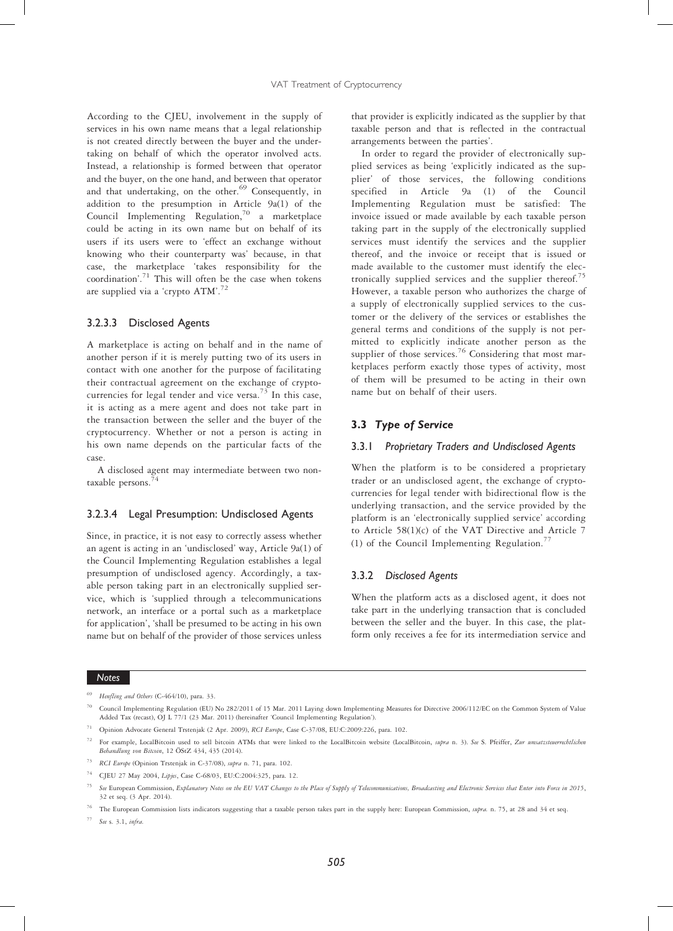According to the CJEU, involvement in the supply of services in his own name means that a legal relationship is not created directly between the buyer and the undertaking on behalf of which the operator involved acts. Instead, a relationship is formed between that operator and the buyer, on the one hand, and between that operator and that undertaking, on the other.<sup>69</sup> Consequently, in addition to the presumption in Article 9a(1) of the Council Implementing Regulation,70 a marketplace could be acting in its own name but on behalf of its users if its users were to 'effect an exchange without knowing who their counterparty was' because, in that case, the marketplace 'takes responsibility for the coordination'. <sup>71</sup> This will often be the case when tokens are supplied via a 'crypto ATM'.<sup>72</sup>

# 3.2.3.3 Disclosed Agents

A marketplace is acting on behalf and in the name of another person if it is merely putting two of its users in contact with one another for the purpose of facilitating their contractual agreement on the exchange of cryptocurrencies for legal tender and vice versa.<sup>73</sup> In this case, it is acting as a mere agent and does not take part in the transaction between the seller and the buyer of the cryptocurrency. Whether or not a person is acting in his own name depends on the particular facts of the case.

A disclosed agent may intermediate between two nontaxable persons.

# 3.2.3.4 Legal Presumption: Undisclosed Agents

Since, in practice, it is not easy to correctly assess whether an agent is acting in an 'undisclosed' way, Article 9a(1) of the Council Implementing Regulation establishes a legal presumption of undisclosed agency. Accordingly, a taxable person taking part in an electronically supplied service, which is 'supplied through a telecommunications network, an interface or a portal such as a marketplace for application', 'shall be presumed to be acting in his own name but on behalf of the provider of those services unless

that provider is explicitly indicated as the supplier by that taxable person and that is reflected in the contractual arrangements between the parties'.

In order to regard the provider of electronically supplied services as being 'explicitly indicated as the supplier' of those services, the following conditions specified in Article 9a (1) of the Council Implementing Regulation must be satisfied: The invoice issued or made available by each taxable person taking part in the supply of the electronically supplied services must identify the services and the supplier thereof, and the invoice or receipt that is issued or made available to the customer must identify the electronically supplied services and the supplier thereof.<sup>75</sup> However, a taxable person who authorizes the charge of a supply of electronically supplied services to the customer or the delivery of the services or establishes the general terms and conditions of the supply is not permitted to explicitly indicate another person as the supplier of those services.<sup>76</sup> Considering that most marketplaces perform exactly those types of activity, most of them will be presumed to be acting in their own name but on behalf of their users.

# 3.3 Type of Service

#### 3.3.1 Proprietary Traders and Undisclosed Agents

When the platform is to be considered a proprietary trader or an undisclosed agent, the exchange of cryptocurrencies for legal tender with bidirectional flow is the underlying transaction, and the service provided by the platform is an 'electronically supplied service' according to Article 58(1)(c) of the VAT Directive and Article 7 (1) of the Council Implementing Regulation.<sup>77</sup>

#### 3.3.2 Disclosed Agents

When the platform acts as a disclosed agent, it does not take part in the underlying transaction that is concluded between the seller and the buyer. In this case, the platform only receives a fee for its intermediation service and

# Notes

<sup>74</sup> CJEU 27 May 2004, Lipjes, Case C-68/03, EU:C:2004:325, para. 12.

Henfling and Others (C-464/10), para. 33.

<sup>70</sup> Council Implementing Regulation (EU) No 282/2011 of 15 Mar. 2011 Laying down Implementing Measures for Directive 2006/112/EC on the Common System of Value Added Tax (recast), OJ L 77/1 (23 Mar. 2011) (hereinafter 'Council Implementing Regulation').

<sup>&</sup>lt;sup>71</sup> Opinion Advocate General Trstenjak (2 Apr. 2009), RCI Europe, Case C-37/08, EU:C:2009:226, para. 102.

For example, LocalBitcoin used to sell bitcoin ATMs that were linked to the LocalBitcoin website (LocalBitcoin, supra n. 3). See S. Pfeiffer, Zur umsatzsteuerrechtlichen Behandlung von Bitcoin, 12 ÖStZ 434, 435 (2014).

<sup>73</sup> RCI Europe (Opinion Trstenjak in C-37/08), supra n. 71, para. 102.

See European Commission, Explanatory Notes on the EU VAT Changes to the Place of Supply of Telecommunications, Broadcasting and Electronic Services that Enter into Force in 2015, 32 et seq. (3 Apr. 2014).

<sup>&</sup>lt;sup>76</sup> The European Commission lists indicators suggesting that a taxable person takes part in the supply here: European Commission, supra. n. 75, at 28 and 34 et seq.

<sup>77</sup> See s. 3.1, infra.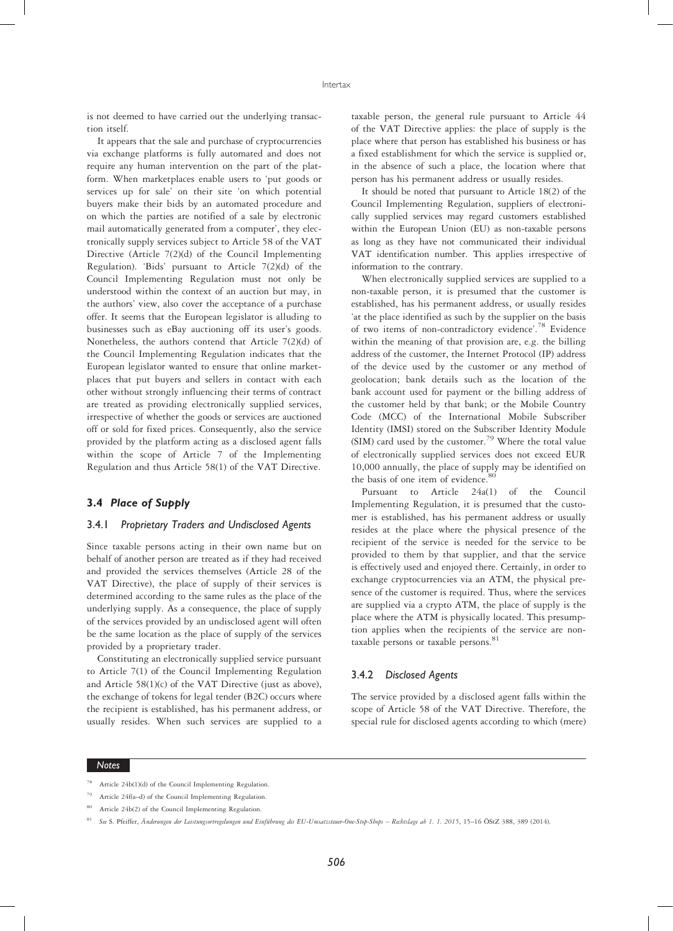is not deemed to have carried out the underlying transaction itself.

It appears that the sale and purchase of cryptocurrencies via exchange platforms is fully automated and does not require any human intervention on the part of the platform. When marketplaces enable users to 'put goods or services up for sale' on their site 'on which potential buyers make their bids by an automated procedure and on which the parties are notified of a sale by electronic mail automatically generated from a computer', they electronically supply services subject to Article 58 of the VAT Directive (Article 7(2)(d) of the Council Implementing Regulation). 'Bids' pursuant to Article 7(2)(d) of the Council Implementing Regulation must not only be understood within the context of an auction but may, in the authors' view, also cover the acceptance of a purchase offer. It seems that the European legislator is alluding to businesses such as eBay auctioning off its user's goods. Nonetheless, the authors contend that Article 7(2)(d) of the Council Implementing Regulation indicates that the European legislator wanted to ensure that online marketplaces that put buyers and sellers in contact with each other without strongly influencing their terms of contract are treated as providing electronically supplied services, irrespective of whether the goods or services are auctioned off or sold for fixed prices. Consequently, also the service provided by the platform acting as a disclosed agent falls within the scope of Article 7 of the Implementing Regulation and thus Article 58(1) of the VAT Directive.

# 3.4 Place of Supply

# 3.4.1 Proprietary Traders and Undisclosed Agents

Since taxable persons acting in their own name but on behalf of another person are treated as if they had received and provided the services themselves (Article 28 of the VAT Directive), the place of supply of their services is determined according to the same rules as the place of the underlying supply. As a consequence, the place of supply of the services provided by an undisclosed agent will often be the same location as the place of supply of the services provided by a proprietary trader.

Constituting an electronically supplied service pursuant to Article 7(1) of the Council Implementing Regulation and Article 58(1)(c) of the VAT Directive (just as above), the exchange of tokens for legal tender (B2C) occurs where the recipient is established, has his permanent address, or usually resides. When such services are supplied to a

taxable person, the general rule pursuant to Article 44 of the VAT Directive applies: the place of supply is the place where that person has established his business or has a fixed establishment for which the service is supplied or, in the absence of such a place, the location where that person has his permanent address or usually resides.

It should be noted that pursuant to Article 18(2) of the Council Implementing Regulation, suppliers of electronically supplied services may regard customers established within the European Union (EU) as non-taxable persons as long as they have not communicated their individual VAT identification number. This applies irrespective of information to the contrary.

When electronically supplied services are supplied to a non-taxable person, it is presumed that the customer is established, has his permanent address, or usually resides 'at the place identified as such by the supplier on the basis of two items of non-contradictory evidence'. <sup>78</sup> Evidence within the meaning of that provision are, e.g. the billing address of the customer, the Internet Protocol (IP) address of the device used by the customer or any method of geolocation; bank details such as the location of the bank account used for payment or the billing address of the customer held by that bank; or the Mobile Country Code (MCC) of the International Mobile Subscriber Identity (IMSI) stored on the Subscriber Identity Module (SIM) card used by the customer.<sup>79</sup> Where the total value of electronically supplied services does not exceed EUR 10,000 annually, the place of supply may be identified on the basis of one item of evidence.<sup>80</sup>

Pursuant to Article 24a(1) of the Council Implementing Regulation, it is presumed that the customer is established, has his permanent address or usually resides at the place where the physical presence of the recipient of the service is needed for the service to be provided to them by that supplier, and that the service is effectively used and enjoyed there. Certainly, in order to exchange cryptocurrencies via an ATM, the physical presence of the customer is required. Thus, where the services are supplied via a crypto ATM, the place of supply is the place where the ATM is physically located. This presumption applies when the recipients of the service are nontaxable persons or taxable persons.<sup>81</sup>

#### 3.4.2 Disclosed Agents

The service provided by a disclosed agent falls within the scope of Article 58 of the VAT Directive. Therefore, the special rule for disclosed agents according to which (mere)

Article 24b(1)(d) of the Council Implementing Regulation.

Article 24f(a-d) of the Council Implementing Regulation.

Article 24b(2) of the Council Implementing Regulation.

<sup>81</sup> See S. Pfeiffer, Änderungen der Leistungsortregelungen und Einführung des EU-Umsatzsteuer-One-Stop-Shops – Rechtslage ab 1. 1. 2015, 15–16 ÖStZ 388, 389 (2014).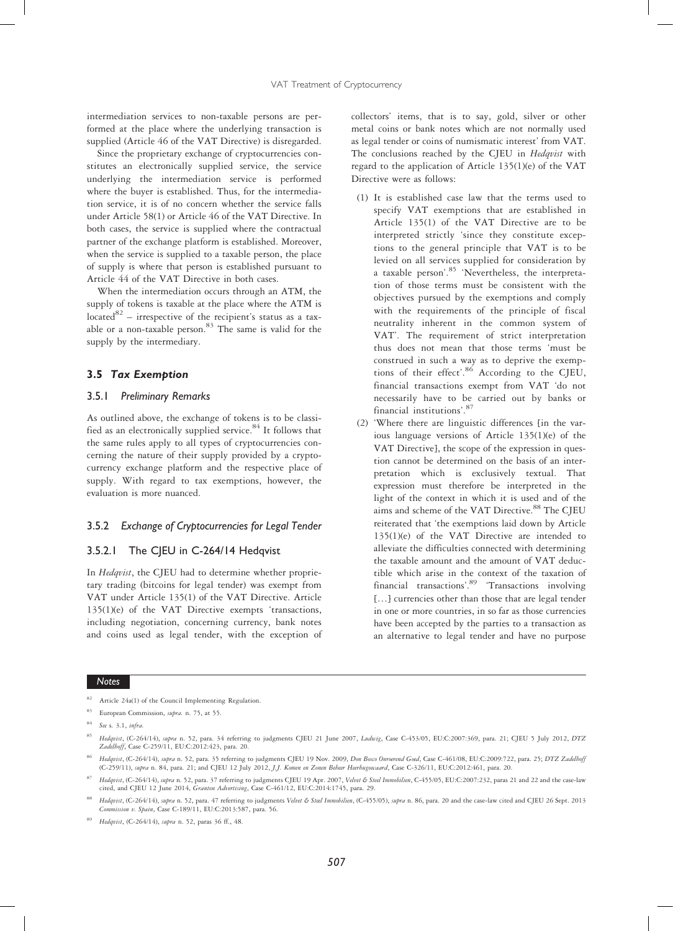intermediation services to non-taxable persons are performed at the place where the underlying transaction is supplied (Article 46 of the VAT Directive) is disregarded.

Since the proprietary exchange of cryptocurrencies constitutes an electronically supplied service, the service underlying the intermediation service is performed where the buyer is established. Thus, for the intermediation service, it is of no concern whether the service falls under Article 58(1) or Article 46 of the VAT Directive. In both cases, the service is supplied where the contractual partner of the exchange platform is established. Moreover, when the service is supplied to a taxable person, the place of supply is where that person is established pursuant to Article 44 of the VAT Directive in both cases.

When the intermediation occurs through an ATM, the supply of tokens is taxable at the place where the ATM is located $82$  – irrespective of the recipient's status as a taxable or a non-taxable person. $83$  The same is valid for the supply by the intermediary.

# 3.5 Tax Exemption

# 3.5.1 Preliminary Remarks

As outlined above, the exchange of tokens is to be classified as an electronically supplied service.<sup>84</sup> It follows that the same rules apply to all types of cryptocurrencies concerning the nature of their supply provided by a cryptocurrency exchange platform and the respective place of supply. With regard to tax exemptions, however, the evaluation is more nuanced.

# 3.5.2 Exchange of Cryptocurrencies for Legal Tender

#### 3.5.2.1 The CJEU in C-264/14 Hedqvist

In *Hedqvist*, the CJEU had to determine whether proprietary trading (bitcoins for legal tender) was exempt from VAT under Article 135(1) of the VAT Directive. Article 135(1)(e) of the VAT Directive exempts 'transactions, including negotiation, concerning currency, bank notes and coins used as legal tender, with the exception of collectors' items, that is to say, gold, silver or other metal coins or bank notes which are not normally used as legal tender or coins of numismatic interest' from VAT. The conclusions reached by the CJEU in Hedqvist with regard to the application of Article 135(1)(e) of the VAT Directive were as follows:

- (1) It is established case law that the terms used to specify VAT exemptions that are established in Article 135(1) of the VAT Directive are to be interpreted strictly 'since they constitute exceptions to the general principle that VAT is to be levied on all services supplied for consideration by a taxable person'. <sup>85</sup> 'Nevertheless, the interpretation of those terms must be consistent with the objectives pursued by the exemptions and comply with the requirements of the principle of fiscal neutrality inherent in the common system of VAT'. The requirement of strict interpretation thus does not mean that those terms 'must be construed in such a way as to deprive the exemptions of their effect'.<sup>86</sup> According to the CJEU, financial transactions exempt from VAT 'do not necessarily have to be carried out by banks or financial institutions'. 87
- (2) 'Where there are linguistic differences [in the various language versions of Article 135(1)(e) of the VAT Directive], the scope of the expression in question cannot be determined on the basis of an interpretation which is exclusively textual. That expression must therefore be interpreted in the light of the context in which it is used and of the aims and scheme of the VAT Directive.<sup>88</sup> The CJEU reiterated that 'the exemptions laid down by Article 135(1)(e) of the VAT Directive are intended to alleviate the difficulties connected with determining the taxable amount and the amount of VAT deductible which arise in the context of the taxation of financial transactions'.<sup>89</sup> 'Transactions involving […] currencies other than those that are legal tender in one or more countries, in so far as those currencies have been accepted by the parties to a transaction as an alternative to legal tender and have no purpose

Article 24a(1) of the Council Implementing Regulation

European Commission, supra. n. 75, at 55.

<sup>84</sup> See s. 3.1, infra.

<sup>85</sup> Hedqvist, (C-264/14), supra n. 52, para. 34 referring to judgments CJEU 21 June 2007, Ludwig, Case C-453/05, EU:C:2007:369, para. 21; CJEU 5 July 2012, DTZ Zadelhoff, Case C-259/11, EU:C:2012:423, para. 20.

Hedqvist, (C-264/14), supra n. 52, para. 35 referring to judgments CJEU 19 Nov. 2009, Don Bosco Onroerend Goed, Case C-461/08, EU:C:2009:722, para. 25; DTZ Zadelhoff (C-259/11), supra n. 84, para. 21; and CJEU 12 July 2012, J.J. Komen en Zonen Beheer Heerhugowaard, Case C-326/11, EU:C:2012:461, para. 20.

<sup>&</sup>lt;sup>87</sup> Hedqvist, (C-264/14), supra n. 52, para. 37 referring to judgments CJEU 19 Apr. 2007, Velvet & Steel Immobilien, C-455/05, EU:C:2007:232, paras 21 and 22 and the case-law cited, and CJEU 12 June 2014, *Granton Adverti* 

Hedqvist, (C-264/14), supra n. 52, para. 47 referring to judgments Velvet & Steel Immobilien, (C-455/05), supra n. 86, para. 20 and the case-law cited and CJEU 26 Sept. 2013 Commission v. Spain, Case C-189/11, EU:C:2013:587, para. 56.

<sup>89</sup> Hedqvist, (C-264/14), supra n. 52, paras 36 ff., 48.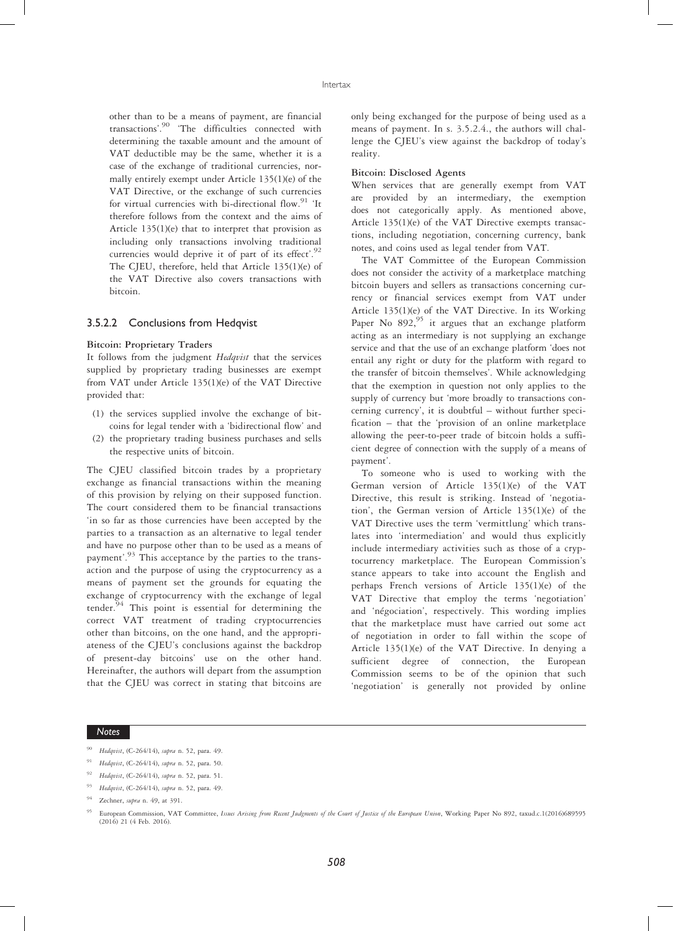other than to be a means of payment, are financial transactions'. <sup>90</sup> 'The difficulties connected with determining the taxable amount and the amount of VAT deductible may be the same, whether it is a case of the exchange of traditional currencies, normally entirely exempt under Article 135(1)(e) of the VAT Directive, or the exchange of such currencies for virtual currencies with bi-directional flow.<sup>91</sup> 'It therefore follows from the context and the aims of Article 135(1)(e) that to interpret that provision as including only transactions involving traditional currencies would deprive it of part of its effect'.<sup>92</sup> The CJEU, therefore, held that Article 135(1)(e) of the VAT Directive also covers transactions with bitcoin.

# 3.5.2.2 Conclusions from Hedqvist

#### Bitcoin: Proprietary Traders

It follows from the judgment Hedqvist that the services supplied by proprietary trading businesses are exempt from VAT under Article 135(1)(e) of the VAT Directive provided that:

- (1) the services supplied involve the exchange of bitcoins for legal tender with a 'bidirectional flow' and
- (2) the proprietary trading business purchases and sells the respective units of bitcoin.

The CJEU classified bitcoin trades by a proprietary exchange as financial transactions within the meaning of this provision by relying on their supposed function. The court considered them to be financial transactions 'in so far as those currencies have been accepted by the parties to a transaction as an alternative to legal tender and have no purpose other than to be used as a means of payment'.<sup>93</sup> This acceptance by the parties to the transaction and the purpose of using the cryptocurrency as a means of payment set the grounds for equating the exchange of cryptocurrency with the exchange of legal tender. $94$  This point is essential for determining the correct VAT treatment of trading cryptocurrencies other than bitcoins, on the one hand, and the appropriateness of the CJEU's conclusions against the backdrop of present-day bitcoins' use on the other hand. Hereinafter, the authors will depart from the assumption that the CJEU was correct in stating that bitcoins are only being exchanged for the purpose of being used as a means of payment. In s. 3.5.2.4., the authors will challenge the CJEU's view against the backdrop of today's reality.

#### Bitcoin: Disclosed Agents

When services that are generally exempt from VAT are provided by an intermediary, the exemption does not categorically apply. As mentioned above, Article 135(1)(e) of the VAT Directive exempts transactions, including negotiation, concerning currency, bank notes, and coins used as legal tender from VAT.

The VAT Committee of the European Commission does not consider the activity of a marketplace matching bitcoin buyers and sellers as transactions concerning currency or financial services exempt from VAT under Article 135(1)(e) of the VAT Directive. In its Working Paper No  $892,^{95}$  it argues that an exchange platform acting as an intermediary is not supplying an exchange service and that the use of an exchange platform 'does not entail any right or duty for the platform with regard to the transfer of bitcoin themselves'. While acknowledging that the exemption in question not only applies to the supply of currency but 'more broadly to transactions concerning currency', it is doubtful – without further specification – that the 'provision of an online marketplace allowing the peer-to-peer trade of bitcoin holds a sufficient degree of connection with the supply of a means of payment'.

To someone who is used to working with the German version of Article 135(1)(e) of the VAT Directive, this result is striking. Instead of 'negotiation', the German version of Article 135(1)(e) of the VAT Directive uses the term 'vermittlung' which translates into 'intermediation' and would thus explicitly include intermediary activities such as those of a cryptocurrency marketplace. The European Commission's stance appears to take into account the English and perhaps French versions of Article 135(1)(e) of the VAT Directive that employ the terms 'negotiation' and 'négociation', respectively. This wording implies that the marketplace must have carried out some act of negotiation in order to fall within the scope of Article 135(1)(e) of the VAT Directive. In denying a sufficient degree of connection, the European Commission seems to be of the opinion that such 'negotiation' is generally not provided by online

- Hedqvist, (C-264/14), supra n. 52, para. 49.
- <sup>91</sup> Hedqvist, (C-264/14), supra n. 52, para. 50.
- <sup>92</sup> Hedqvist, (C-264/14), supra n. 52, para. 51.
- <sup>93</sup> Hedqvist, (C-264/14), supra n. 52, para. 49.
- <sup>94</sup> Zechner, supra n. 49, at 391.

European Commission, VAT Committee, Issues Arising from Recent Judgments of the Court of Justice of the European Union, Working Paper No 892, taxud.c.1(2016)689595 (2016) 21 (4 Feb. 2016).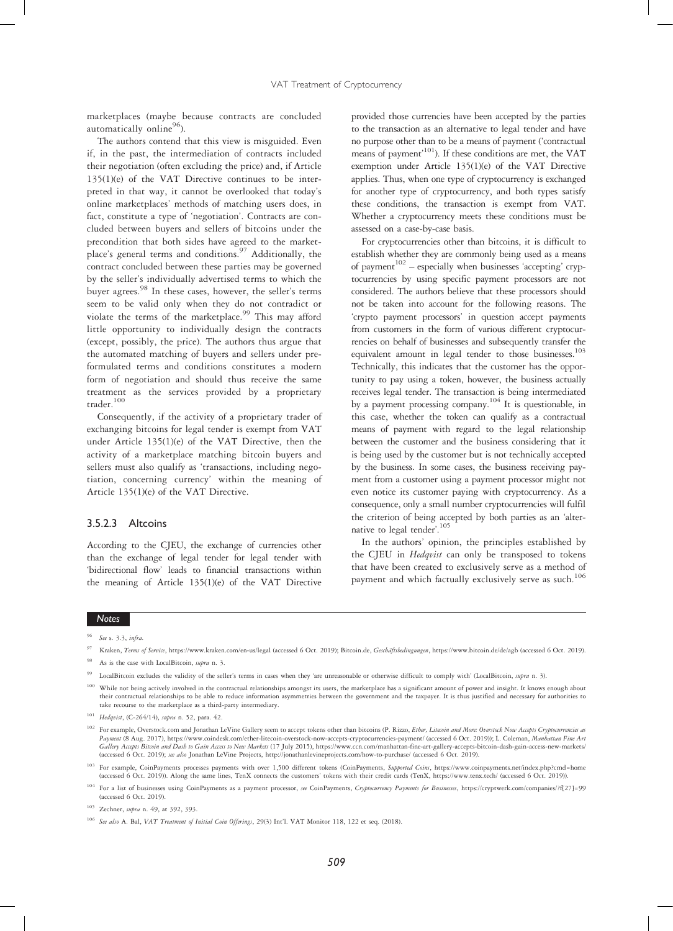marketplaces (maybe because contracts are concluded automatically online $96$ ).

The authors contend that this view is misguided. Even if, in the past, the intermediation of contracts included their negotiation (often excluding the price) and, if Article 135(1)(e) of the VAT Directive continues to be interpreted in that way, it cannot be overlooked that today's online marketplaces' methods of matching users does, in fact, constitute a type of 'negotiation'. Contracts are concluded between buyers and sellers of bitcoins under the precondition that both sides have agreed to the marketplace's general terms and conditions.<sup>97</sup> Additionally, the contract concluded between these parties may be governed by the seller's individually advertised terms to which the buyer agrees.<sup>98</sup> In these cases, however, the seller's terms seem to be valid only when they do not contradict or violate the terms of the marketplace.<sup>99</sup> This may afford little opportunity to individually design the contracts (except, possibly, the price). The authors thus argue that the automated matching of buyers and sellers under preformulated terms and conditions constitutes a modern form of negotiation and should thus receive the same treatment as the services provided by a proprietary trader.<sup>100</sup>

Consequently, if the activity of a proprietary trader of exchanging bitcoins for legal tender is exempt from VAT under Article 135(1)(e) of the VAT Directive, then the activity of a marketplace matching bitcoin buyers and sellers must also qualify as 'transactions, including negotiation, concerning currency' within the meaning of Article 135(1)(e) of the VAT Directive.

# 3.5.2.3 Altcoins

According to the CJEU, the exchange of currencies other than the exchange of legal tender for legal tender with 'bidirectional flow' leads to financial transactions within the meaning of Article 135(1)(e) of the VAT Directive

provided those currencies have been accepted by the parties to the transaction as an alternative to legal tender and have no purpose other than to be a means of payment ('contractual means of payment' 101). If these conditions are met, the VAT exemption under Article 135(1)(e) of the VAT Directive applies. Thus, when one type of cryptocurrency is exchanged for another type of cryptocurrency, and both types satisfy these conditions, the transaction is exempt from VAT. Whether a cryptocurrency meets these conditions must be assessed on a case-by-case basis.

For cryptocurrencies other than bitcoins, it is difficult to establish whether they are commonly being used as a means of payment $102$  – especially when businesses 'accepting' cryptocurrencies by using specific payment processors are not considered. The authors believe that these processors should not be taken into account for the following reasons. The 'crypto payment processors' in question accept payments from customers in the form of various different cryptocurrencies on behalf of businesses and subsequently transfer the equivalent amount in legal tender to those businesses.<sup>103</sup> Technically, this indicates that the customer has the opportunity to pay using a token, however, the business actually receives legal tender. The transaction is being intermediated by a payment processing company.<sup>104</sup> It is questionable, in this case, whether the token can qualify as a contractual means of payment with regard to the legal relationship between the customer and the business considering that it is being used by the customer but is not technically accepted by the business. In some cases, the business receiving payment from a customer using a payment processor might not even notice its customer paying with cryptocurrency. As a consequence, only a small number cryptocurrencies will fulfil the criterion of being accepted by both parties as an 'alternative to legal tender'. 105

In the authors' opinion, the principles established by the CJEU in *Hedqvist* can only be transposed to tokens that have been created to exclusively serve as a method of payment and which factually exclusively serve as such.<sup>106</sup>

See s. 3.3, infra.

<sup>97</sup> Kraken, Terms of Service, https://www.kraken.com/en-us/legal (accessed 6 Oct. 2019); Bitcoin.de, Geschäftsbedingungen, https://www.bitcoin.de/de/agb (accessed 6 Oct. 2019). As is the case with LocalBitcoin, supra n. 3.

<sup>99</sup> LocalBitcoin excludes the validity of the seller's terms in cases when they 'are unreasonable or otherwise difficult to comply with' (LocalBitcoin, supra n. 3).

While not being actively involved in the contractual relationships amongst its users, the marketplace has a significant amount of power and insight. It knows enough about their contractual relationships to be able to reduce information asymmetries between the government and the taxpayer. It is thus justified and necessary for authorities to take recourse to the marketplace as a third-party intermediary.

<sup>101</sup> Hedqvist, (C-264/14), supra n. 52, para. 42.

<sup>&</sup>lt;sup>102</sup> For example, Overstock.com and Jonathan LeVine Gallery seem to accept tokens other than bitcoins (P. Rizzo, Ether, Litecoin and More: Overstock Now Accepts Cryptocurrencies as Payment (8 Aug. 2017), https://www.coindesk.com/ether-litecoin-overstock-now-accepts-cryptocurrencies-payment/ (accessed 6 Oct. 2019)); L. Coleman, Manhattan Fine Art Gallery Accepts Bitcoin and Dash to Gain Access to New Markets (17 July 2015), https://www.ccn.com/manhattan-fine-art-gallery-accepts-bitcoin-dash-gain-access-new-markets/ (accessed 6 Oct. 2019); see also Jonathan LeVine Projects, http://jonathanlevineprojects.com/how-to-purchase/ (accessed 6 Oct. 2019).

<sup>&</sup>lt;sup>103</sup> For example, CoinPayments processes payments with over 1,500 different tokens (CoinPayments, Supported Coins, https://www.coinpayments.net/index.php?cmd=home (accessed 6 Oct. 2019)). Along the same lines, TenX connec

<sup>&</sup>lt;sup>104</sup> For a list of businesses using CoinPayments as a payment processor, see CoinPayments, Cryptocurrency Payments for Businesses, https://cryptwerk.com/companies/?f[27]=99 (accessed 6 Oct. 2019).

<sup>&</sup>lt;sup>105</sup> Zechner, *supra* n. 49, at 392, 393.

<sup>&</sup>lt;sup>106</sup> See also A. Bal, VAT Treatment of Initial Coin Offerings, 29(3) Int'l. VAT Monitor 118, 122 et seq. (2018).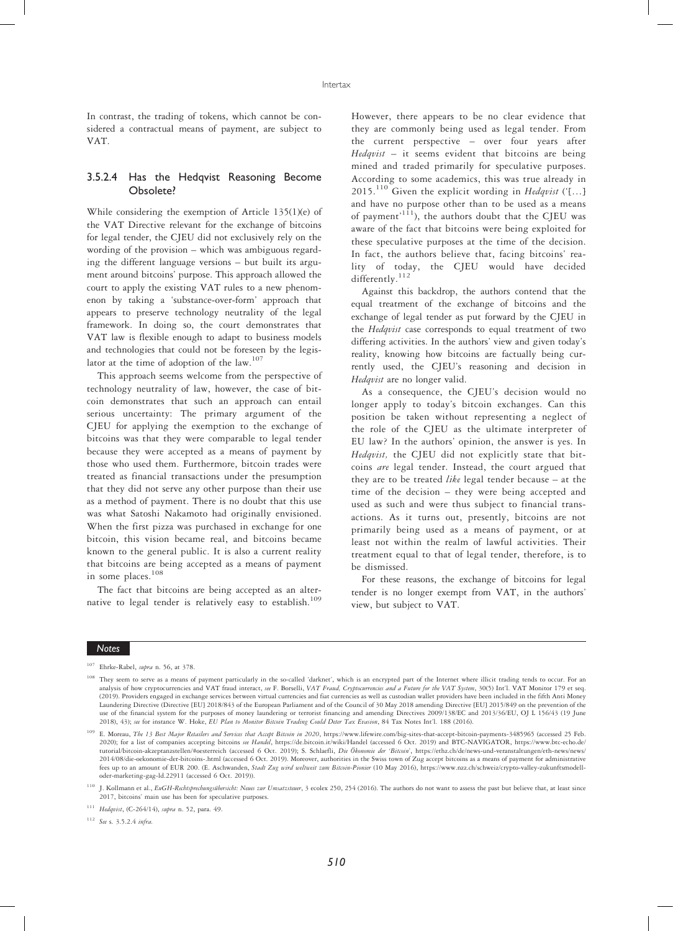In contrast, the trading of tokens, which cannot be considered a contractual means of payment, are subject to VAT.

# 3.5.2.4 Has the Hedqvist Reasoning Become Obsolete?

While considering the exemption of Article 135(1)(e) of the VAT Directive relevant for the exchange of bitcoins for legal tender, the CJEU did not exclusively rely on the wording of the provision – which was ambiguous regarding the different language versions – but built its argument around bitcoins' purpose. This approach allowed the court to apply the existing VAT rules to a new phenomenon by taking a 'substance-over-form' approach that appears to preserve technology neutrality of the legal framework. In doing so, the court demonstrates that VAT law is flexible enough to adapt to business models and technologies that could not be foreseen by the legislator at the time of adoption of the law. $107$ 

This approach seems welcome from the perspective of technology neutrality of law, however, the case of bitcoin demonstrates that such an approach can entail serious uncertainty: The primary argument of the CJEU for applying the exemption to the exchange of bitcoins was that they were comparable to legal tender because they were accepted as a means of payment by those who used them. Furthermore, bitcoin trades were treated as financial transactions under the presumption that they did not serve any other purpose than their use as a method of payment. There is no doubt that this use was what Satoshi Nakamoto had originally envisioned. When the first pizza was purchased in exchange for one bitcoin, this vision became real, and bitcoins became known to the general public. It is also a current reality that bitcoins are being accepted as a means of payment in some places.<sup>108</sup>

The fact that bitcoins are being accepted as an alternative to legal tender is relatively easy to establish.<sup>109</sup>

However, there appears to be no clear evidence that they are commonly being used as legal tender. From the current perspective – over four years after  $Hedqvist$  – it seems evident that bitcoins are being mined and traded primarily for speculative purposes. According to some academics, this was true already in 2015.<sup>110</sup> Given the explicit wording in  $Hedqvist$  ('[...] and have no purpose other than to be used as a means of payment<sup>, 111</sup>), the authors doubt that the CJEU was aware of the fact that bitcoins were being exploited for these speculative purposes at the time of the decision. In fact, the authors believe that, facing bitcoins' reality of today, the CJEU would have decided  $\mathrm{differently.}^{112}$ 

Against this backdrop, the authors contend that the equal treatment of the exchange of bitcoins and the exchange of legal tender as put forward by the CJEU in the Hedqvist case corresponds to equal treatment of two differing activities. In the authors' view and given today's reality, knowing how bitcoins are factually being currently used, the CJEU's reasoning and decision in Hedqvist are no longer valid.

As a consequence, the CJEU's decision would no longer apply to today's bitcoin exchanges. Can this position be taken without representing a neglect of the role of the CJEU as the ultimate interpreter of EU law? In the authors' opinion, the answer is yes. In Hedqvist, the CJEU did not explicitly state that bitcoins are legal tender. Instead, the court argued that they are to be treated like legal tender because - at the time of the decision – they were being accepted and used as such and were thus subject to financial transactions. As it turns out, presently, bitcoins are not primarily being used as a means of payment, or at least not within the realm of lawful activities. Their treatment equal to that of legal tender, therefore, is to be dismissed.

For these reasons, the exchange of bitcoins for legal tender is no longer exempt from VAT, in the authors' view, but subject to VAT.

#### Notes

<sup>112</sup> See s. 3.5.2.4 infra.

 $107$  Ehrke-Rabel, *supra* n. 56, at 378

<sup>108</sup> They seem to serve as a means of payment particularly in the so-called 'darknet', which is an encrypted part of the Internet where illicit trading tends to occur. For an analysis of how cryptocurrencies and VAT fraud interact, see F. Borselli, VAT Fraud, Cryptocurrencies and a Future for the VAT System, 30(5) Int'l. VAT Monitor 179 et seq. (2019). Providers engaged in exchange services between virtual currencies and fiat currencies as well as custodian wallet providers have been included in the fifth Anti Money Laundering Directive (Directive [EU] 2018/843 of the European Parliament and of the Council of 30 May 2018 amending Directive [EU] 2015/849 on the prevention of the use of the financial system for the purposes of money laundering or terrorist financing and amending Directives 2009/138/EC and 2013/36/EU, OJ L 156/43 (19 June 2018), 43); see for instance W. Hoke, EU Plan to Monitor Bitcoin Trading Could Deter Tax Evasion, 84 Tax Notes Int'l. 188 (2016).

E. Moreau, The 13 Best Major Retailers and Services that Accept Bitcoin in 2020, https://www.lifewire.com/big-sites-that-accept-bitcoin-payments-3485965 (accessed 25 Feb. 2020); for a list of companies accepting bitcoins *see Handel*, https://de.bitcoin.it/wiki/Handel (accessed 6 Oct. 2019) and BTC-NAVIGATOR, https://www.btc-echo.de/ tutorial/bitcoin-akzeptanzstellen/#oesterreich (accessed 6 Oct. 2019); S. Schlaefli, Die Ökonomie der 'Bitcoin', https://ethz.ch/de/news-und-veranstaltungen/eth-news/news/ 2014/08/die-oekonomie-der-bitcoins-.html (accessed 6 Oct. 2019). Moreover, authorities in the Swiss town of Zug accept bitcoins as a means of payment for administrative fees up to an amount of EUR 200. (E. Aschwanden, Stadt Zug wird weltweit zum Bitcoin-Pionier (10 May 2016), https://www.nzz.ch/schweiz/crypto-valley-zukunftsmodelloder-marketing-gag-ld.22911 (accessed 6 Oct. 2019)).

<sup>&</sup>lt;sup>110</sup> J. Kollmann et al., EuGH-Rechtsprechungsübersicht: Neues zur Umsatzsteuer, 3 ecolex 250, 254 (2016). The authors do not want to assess the past but believe that, at least since 2017, bitcoins' main use has been for speculative purposes.

<sup>111</sup> Hedqvist, (C-264/14), supra n. 52, para. 49.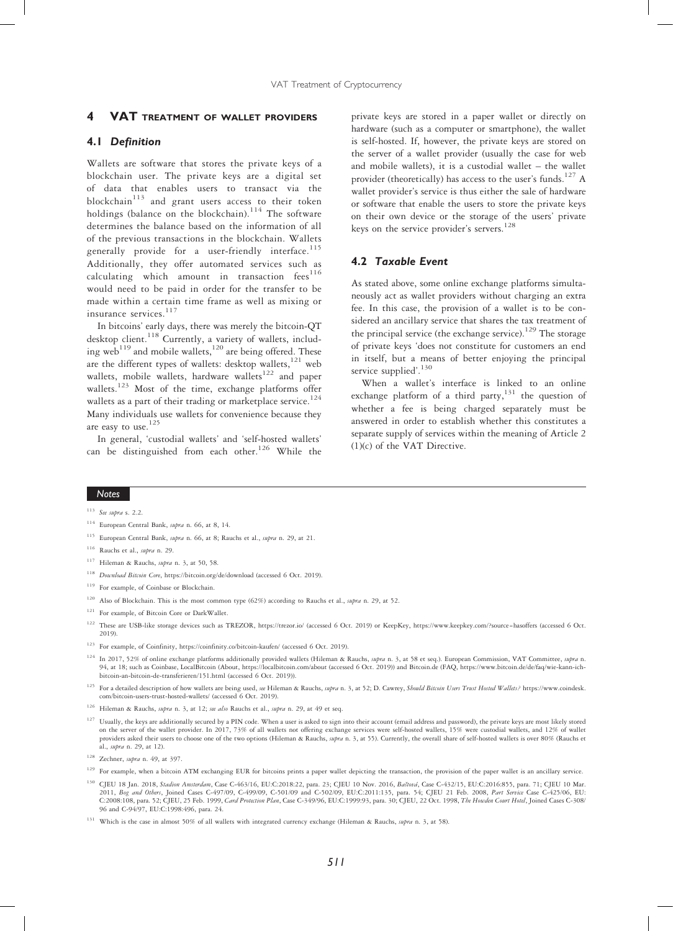#### **VAT TREATMENT OF WALLET PROVIDERS**

# 4.1 Definition

Wallets are software that stores the private keys of a blockchain user. The private keys are a digital set of data that enables users to transact via the blockchain $113$  and grant users access to their token holdings (balance on the blockchain).<sup>114</sup> The software determines the balance based on the information of all of the previous transactions in the blockchain. Wallets generally provide for a user-friendly interface.<sup>115</sup> Additionally, they offer automated services such as calculating which amount in transaction  $fees^{116}$ would need to be paid in order for the transfer to be made within a certain time frame as well as mixing or insurance services.<sup>117</sup>

In bitcoins' early days, there was merely the bitcoin-QT desktop client.<sup>118</sup> Currently, a variety of wallets, including web<sup>119</sup> and mobile wallets,<sup>120</sup> are being offered. These are the different types of wallets: desktop wallets, $121$  web wallets, mobile wallets, hardware wallets<sup>122</sup> and paper wallets.<sup>123</sup> Most of the time, exchange platforms offer wallets as a part of their trading or marketplace service.<sup>124</sup> Many individuals use wallets for convenience because they are easy to use.<sup>125</sup>

In general, 'custodial wallets' and 'self-hosted wallets' can be distinguished from each other.<sup>126</sup> While the

private keys are stored in a paper wallet or directly on hardware (such as a computer or smartphone), the wallet is self-hosted. If, however, the private keys are stored on the server of a wallet provider (usually the case for web and mobile wallets), it is a custodial wallet – the wallet provider (theoretically) has access to the user's funds.<sup>127</sup> A wallet provider's service is thus either the sale of hardware or software that enable the users to store the private keys on their own device or the storage of the users' private keys on the service provider's servers.<sup>128</sup>

# 4.2 Taxable Event

As stated above, some online exchange platforms simultaneously act as wallet providers without charging an extra fee. In this case, the provision of a wallet is to be considered an ancillary service that shares the tax treatment of the principal service (the exchange service).<sup>129</sup> The storage of private keys 'does not constitute for customers an end in itself, but a means of better enjoying the principal service supplied'.<sup>130</sup>

When a wallet's interface is linked to an online exchange platform of a third party, $131$  the question of whether a fee is being charged separately must be answered in order to establish whether this constitutes a separate supply of services within the meaning of Article 2 (1)(c) of the VAT Directive.

- <sup>114</sup> European Central Bank, supra n. 66, at 8, 14.
- <sup>115</sup> European Central Bank, supra n. 66, at 8; Rauchs et al., supra n. 29, at 21.
- <sup>116</sup> Rauchs et al., supra n. 29.
- <sup>117</sup> Hileman & Rauchs, supra n. 3, at 50, 58.
- <sup>118</sup> Download Bitcoin Core, https://bitcoin.org/de/download (accessed 6 Oct. 2019).
- <sup>119</sup> For example, of Coinbase or Blockchain.
- <sup>120</sup> Also of Blockchain. This is the most common type (62%) according to Rauchs et al., *supra* n. 29, at 52.
- <sup>121</sup> For example, of Bitcoin Core or DarkWallet.
- <sup>122</sup> These are USB-like storage devices such as TREZOR, https://trezor.io/ (accessed 6 Oct. 2019) or KeepKey, https://www.keepkey.com/?source=hasoffers (accessed 6 Oct. 2019).
- <sup>123</sup> For example, of Coinfinity, https://coinfinity.co/bitcoin-kaufen/ (accessed 6 Oct. 2019).
- <sup>124</sup> In 2017, 52% of online exchange platforms additionally provided wallets (Hileman & Rauchs, *supra* n. 3, at 58 et seq.). European Commission, VAT Committee, *supra* n. 94, at 18; such as Coinbase, LocalBitcoin (About bitcoin-an-bitcoin-de-transferieren/151.html (accessed 6 Oct. 2019)).
- <sup>125</sup> For a detailed description of how wallets are being used, see Hileman & Rauchs, supra n. 3, at 52; D. Cawrey, Should Bitcoin Users Trust Hosted Wallets? https://www.coindesk. com/bitcoin-users-trust-hosted-wallets/ (accessed 6 Oct. 2019).
- <sup>126</sup> Hileman & Rauchs, supra n. 3, at 12; see also Rauchs et al., supra n. 29, at 49 et seq.
- <sup>127</sup> Usually, the keys are additionally secured by a PIN code. When a user is asked to sign into their account (email address and password), the private keys are most likely stored on the server of the wallet provider. In 2017, 73% of all wallets not offering exchange services were self-hosted wallets, 15% were custodial wallets, and 12% of wallet providers asked their users to choose one of the two options (Hileman & Rauchs, supra n. 3, at 55). Currently, the overall share of self-hosted wallets is over 80% (Rauchs et al., supra n. 29, at 12).

- <sup>129</sup> For example, when a bitcoin ATM exchanging EUR for bitcoins prints a paper wallet depicting the transaction, the provision of the paper wallet is an ancillary service.
- <sup>130</sup> CJEU 18 Jan. 2018, Stadion Amsterdam, Case C-463/16, EU:C:2018:22, para. 23; CJEU 10 Nov. 2016, Baštová, Case C-432/15, EU:C:2016:855, para. 71; CJEU 10 Mar. 2011, Bog and Others, Joined Cases C-497/09, C-499/09, C-501/09 and C-502/09, EU:C:2011:135, para. 54; CJEU 21 Feb. 2008, Part Service Case C-425/06, EU:<br>C:2008:108, para. 52; CJEU, 25 Feb. 1999, Card Protection Plan, Case 96 and C-94/97, EU:C:1998:496, para. 24.

<sup>113</sup> See supra s. 2.2.

<sup>&</sup>lt;sup>128</sup> Zechner, *supra* n. 49, at 397.

<sup>&</sup>lt;sup>131</sup> Which is the case in almost 50% of all wallets with integrated currency exchange (Hileman & Rauchs, supra n. 3, at 58).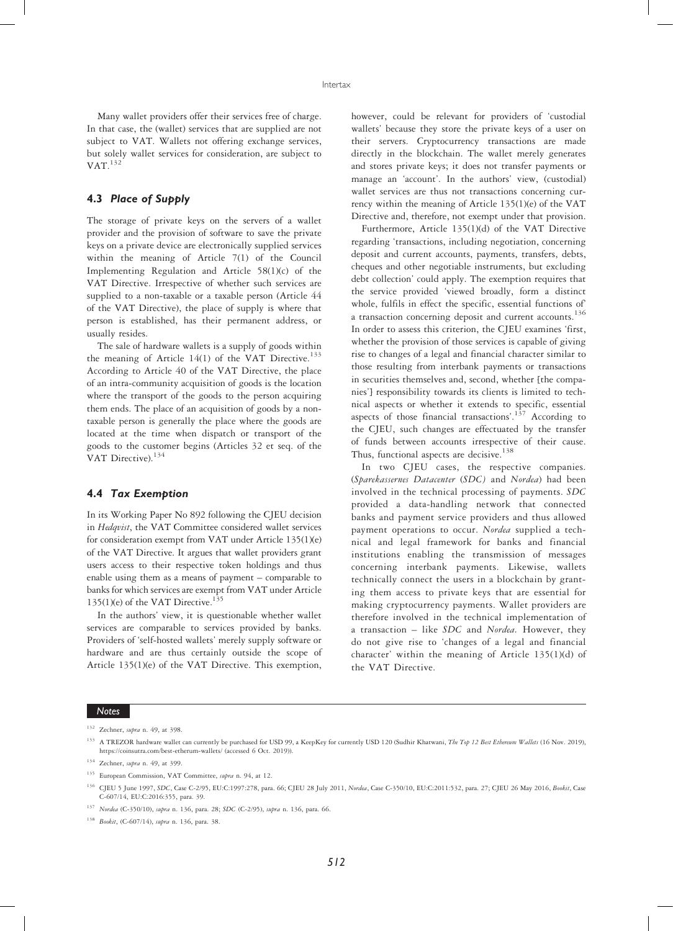Many wallet providers offer their services free of charge. In that case, the (wallet) services that are supplied are not subject to VAT. Wallets not offering exchange services, but solely wallet services for consideration, are subject to  $VAT.<sup>132</sup>$ 

# 4.3 Place of Supply

The storage of private keys on the servers of a wallet provider and the provision of software to save the private keys on a private device are electronically supplied services within the meaning of Article 7(1) of the Council Implementing Regulation and Article 58(1)(c) of the VAT Directive. Irrespective of whether such services are supplied to a non-taxable or a taxable person (Article 44 of the VAT Directive), the place of supply is where that person is established, has their permanent address, or usually resides.

The sale of hardware wallets is a supply of goods within the meaning of Article 14(1) of the VAT Directive.<sup>133</sup> According to Article 40 of the VAT Directive, the place of an intra-community acquisition of goods is the location where the transport of the goods to the person acquiring them ends. The place of an acquisition of goods by a nontaxable person is generally the place where the goods are located at the time when dispatch or transport of the goods to the customer begins (Articles 32 et seq. of the VAT Directive).<sup>134</sup>

# 4.4 Tax Exemption

In its Working Paper No 892 following the CJEU decision in Hedqvist, the VAT Committee considered wallet services for consideration exempt from VAT under Article 135(1)(e) of the VAT Directive. It argues that wallet providers grant users access to their respective token holdings and thus enable using them as a means of payment – comparable to banks for which services are exempt from VAT under Article 135(1)(e) of the VAT Directive.<sup>135</sup>

In the authors' view, it is questionable whether wallet services are comparable to services provided by banks. Providers of 'self-hosted wallets' merely supply software or hardware and are thus certainly outside the scope of Article 135(1)(e) of the VAT Directive. This exemption,

however, could be relevant for providers of 'custodial wallets' because they store the private keys of a user on their servers. Cryptocurrency transactions are made directly in the blockchain. The wallet merely generates and stores private keys; it does not transfer payments or manage an 'account'. In the authors' view, (custodial) wallet services are thus not transactions concerning currency within the meaning of Article 135(1)(e) of the VAT Directive and, therefore, not exempt under that provision.

Furthermore, Article 135(1)(d) of the VAT Directive regarding 'transactions, including negotiation, concerning deposit and current accounts, payments, transfers, debts, cheques and other negotiable instruments, but excluding debt collection' could apply. The exemption requires that the service provided 'viewed broadly, form a distinct whole, fulfils in effect the specific, essential functions of a transaction concerning deposit and current accounts.<sup>136</sup> In order to assess this criterion, the CJEU examines 'first, whether the provision of those services is capable of giving rise to changes of a legal and financial character similar to those resulting from interbank payments or transactions in securities themselves and, second, whether [the companies'] responsibility towards its clients is limited to technical aspects or whether it extends to specific, essential aspects of those financial transactions'.<sup>137</sup> According to the CJEU, such changes are effectuated by the transfer of funds between accounts irrespective of their cause. Thus, functional aspects are decisive.<sup>138</sup>

In two CJEU cases, the respective companies. (Sparekassernes Datacenter (SDC) and Nordea) had been involved in the technical processing of payments. SDC provided a data-handling network that connected banks and payment service providers and thus allowed payment operations to occur. Nordea supplied a technical and legal framework for banks and financial institutions enabling the transmission of messages concerning interbank payments. Likewise, wallets technically connect the users in a blockchain by granting them access to private keys that are essential for making cryptocurrency payments. Wallet providers are therefore involved in the technical implementation of a transaction – like SDC and Nordea. However, they do not give rise to 'changes of a legal and financial character' within the meaning of Article 135(1)(d) of the VAT Directive.

<sup>&</sup>lt;sup>132</sup> Zechner, *supra* n. 49, at 398.

<sup>&</sup>lt;sup>133</sup> A TREZOR hardware wallet can currently be purchased for USD 99, a KeepKey for currently USD 120 (Sudhir Khatwani, The Top 12 Best Ethereum Wallets (16 Nov. 2019), https://coinsutra.com/best-etherum-wallets/ (accessed 6 Oct. 2019)).

<sup>&</sup>lt;sup>134</sup> Zechner, *supra* n. 49, at 399.

<sup>&</sup>lt;sup>135</sup> European Commission, VAT Committee, supra n. 94, at 12.

<sup>&</sup>lt;sup>136</sup> CJEU 5 June 1997, SDC, Case C-2/95, EU:C:1997:278, para. 66; CJEU 28 July 2011, Nordea, Case C-350/10, EU:C:2011:532, para. 27; CJEU 26 May 2016, Bookit, Case C-607/14, EU:C:2016:355, para. 39.

<sup>137</sup> Nordea (C-350/10), supra n. 136, para. 28; SDC (C-2/95), supra n. 136, para. 66.

<sup>138</sup> Bookit, (C-607/14), supra n. 136, para. 38.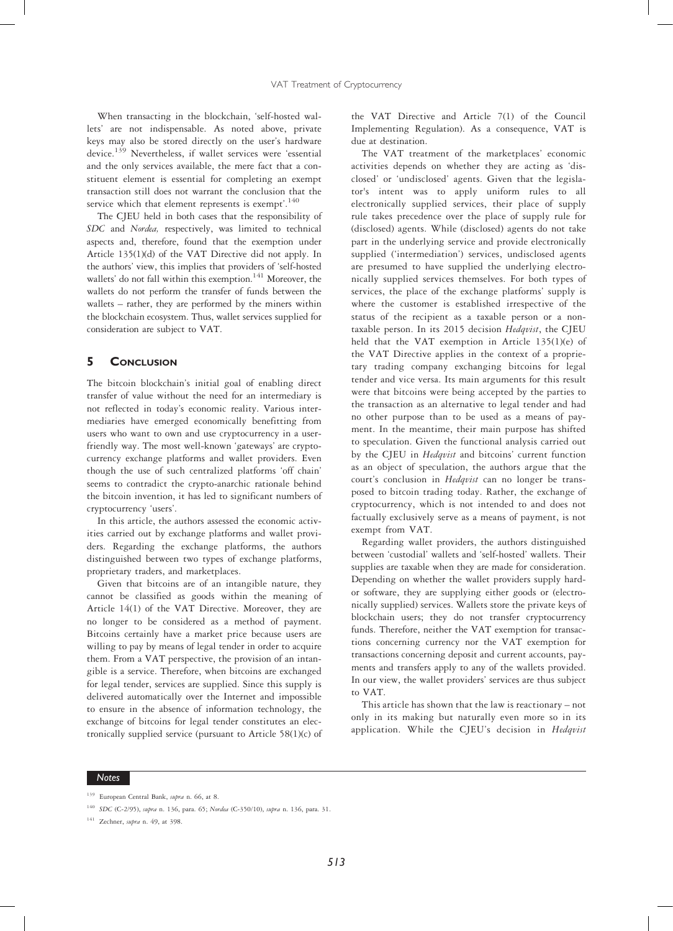When transacting in the blockchain, 'self-hosted wallets' are not indispensable. As noted above, private keys may also be stored directly on the user's hardware device.<sup>139</sup> Nevertheless, if wallet services were 'essential and the only services available, the mere fact that a constituent element is essential for completing an exempt transaction still does not warrant the conclusion that the service which that element represents is exempt'.<sup>140</sup>

The CJEU held in both cases that the responsibility of SDC and Nordea, respectively, was limited to technical aspects and, therefore, found that the exemption under Article 135(1)(d) of the VAT Directive did not apply. In the authors' view, this implies that providers of 'self-hosted wallets' do not fall within this exemption.<sup>141</sup> Moreover, the wallets do not perform the transfer of funds between the wallets – rather, they are performed by the miners within the blockchain ecosystem. Thus, wallet services supplied for consideration are subject to VAT.

# 5 CONCLUSION

The bitcoin blockchain's initial goal of enabling direct transfer of value without the need for an intermediary is not reflected in today's economic reality. Various intermediaries have emerged economically benefitting from users who want to own and use cryptocurrency in a userfriendly way. The most well-known 'gateways' are cryptocurrency exchange platforms and wallet providers. Even though the use of such centralized platforms 'off chain' seems to contradict the crypto-anarchic rationale behind the bitcoin invention, it has led to significant numbers of cryptocurrency 'users'.

In this article, the authors assessed the economic activities carried out by exchange platforms and wallet providers. Regarding the exchange platforms, the authors distinguished between two types of exchange platforms, proprietary traders, and marketplaces.

Given that bitcoins are of an intangible nature, they cannot be classified as goods within the meaning of Article 14(1) of the VAT Directive. Moreover, they are no longer to be considered as a method of payment. Bitcoins certainly have a market price because users are willing to pay by means of legal tender in order to acquire them. From a VAT perspective, the provision of an intangible is a service. Therefore, when bitcoins are exchanged for legal tender, services are supplied. Since this supply is delivered automatically over the Internet and impossible to ensure in the absence of information technology, the exchange of bitcoins for legal tender constitutes an electronically supplied service (pursuant to Article 58(1)(c) of

the VAT Directive and Article 7(1) of the Council Implementing Regulation). As a consequence, VAT is due at destination.

The VAT treatment of the marketplaces' economic activities depends on whether they are acting as 'disclosed' or 'undisclosed' agents. Given that the legislator's intent was to apply uniform rules to all electronically supplied services, their place of supply rule takes precedence over the place of supply rule for (disclosed) agents. While (disclosed) agents do not take part in the underlying service and provide electronically supplied ('intermediation') services, undisclosed agents are presumed to have supplied the underlying electronically supplied services themselves. For both types of services, the place of the exchange platforms' supply is where the customer is established irrespective of the status of the recipient as a taxable person or a nontaxable person. In its 2015 decision Hedqvist, the CJEU held that the VAT exemption in Article 135(1)(e) of the VAT Directive applies in the context of a proprietary trading company exchanging bitcoins for legal tender and vice versa. Its main arguments for this result were that bitcoins were being accepted by the parties to the transaction as an alternative to legal tender and had no other purpose than to be used as a means of payment. In the meantime, their main purpose has shifted to speculation. Given the functional analysis carried out by the CJEU in Hedqvist and bitcoins' current function as an object of speculation, the authors argue that the court's conclusion in Hedqvist can no longer be transposed to bitcoin trading today. Rather, the exchange of cryptocurrency, which is not intended to and does not factually exclusively serve as a means of payment, is not exempt from VAT.

Regarding wallet providers, the authors distinguished between 'custodial' wallets and 'self-hosted' wallets. Their supplies are taxable when they are made for consideration. Depending on whether the wallet providers supply hardor software, they are supplying either goods or (electronically supplied) services. Wallets store the private keys of blockchain users; they do not transfer cryptocurrency funds. Therefore, neither the VAT exemption for transactions concerning currency nor the VAT exemption for transactions concerning deposit and current accounts, payments and transfers apply to any of the wallets provided. In our view, the wallet providers' services are thus subject to VAT.

This article has shown that the law is reactionary – not only in its making but naturally even more so in its application. While the CJEU's decision in Hedqvist

<sup>&</sup>lt;sup>139</sup> European Central Bank, supra n. 66, at 8.

<sup>&</sup>lt;sup>140</sup> SDC (C-2/95), supra n. 136, para. 65; Nordea (C-350/10), supra n. 136, para. 31.

 $141$  Zechner, supra n. 49, at 398.